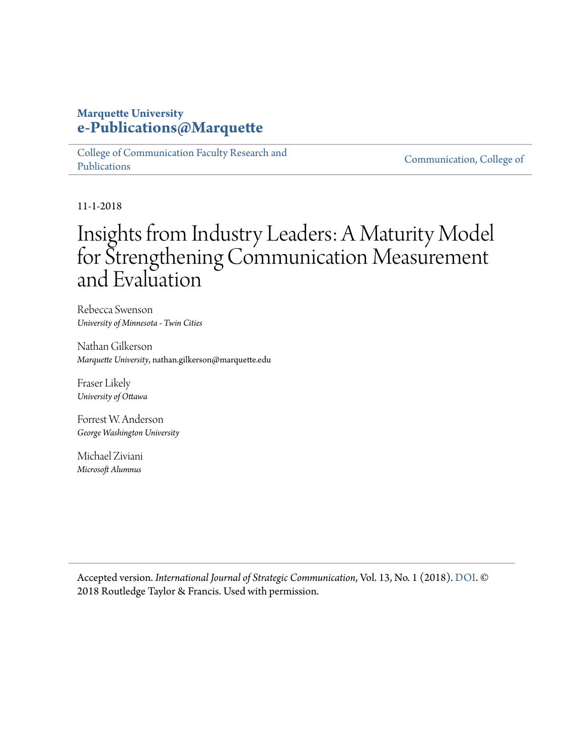## **Marquette University [e-Publications@Marquette](https://epublications.marquette.edu/)**

[College of Communication Faculty Research and](https://epublications.marquette.edu/comm_fac) [Publications](https://epublications.marquette.edu/comm_fac)

[Communication, College of](https://epublications.marquette.edu/communication)

11-1-2018

## Insights from Industry Leaders: A Maturity Model for Strengthening Communication Measurement and Evaluation

Rebecca Swenson *University of Minnesota - Twin Cities*

Nathan Gilkerson *Marquette University*, nathan.gilkerson@marquette.edu

Fraser Likely *University of Ottawa*

Forrest W. Anderson *George Washington University*

Michael Ziviani *Microsoft Alumnus*

Accepted version. *International Journal of Strategic Communication*, Vol. 13, No. 1 (2018). [DOI.](https://doi.org/10.1080/1553118X.2018.1533555) © 2018 Routledge Taylor & Francis. Used with permission.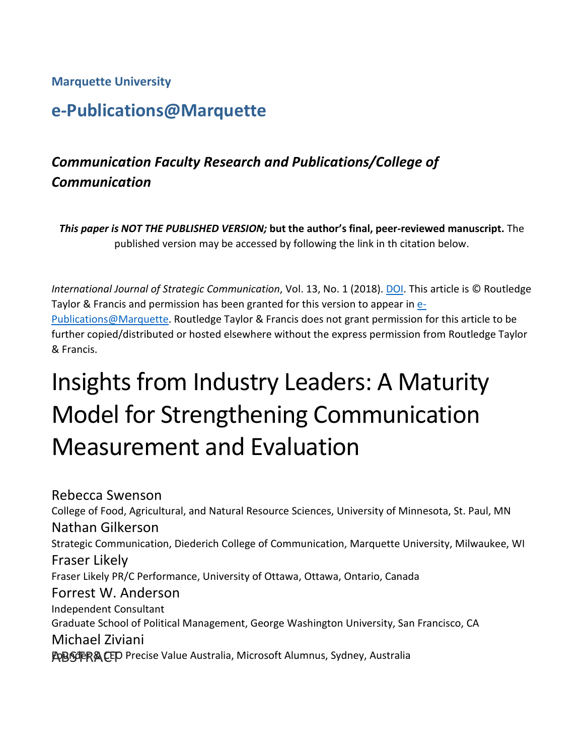#### **Marquette University**

## **e-Publications@Marquette**

## *Communication Faculty Research and Publications/College of Communication*

*This paper is NOT THE PUBLISHED VERSION;* **but the author's final, peer-reviewed manuscript.** The published version may be accessed by following the link in th citation below.

*International Journal of Strategic Communication*, Vol. 13, No. 1 (2018). [DOI.](https://doi.org/10.1080/1553118X.2018.1533555) This article is © Routledge Taylor & Francis and permission has been granted for this version to appear in [e-](http://epublications.marquette.edu/)[Publications@Marquette.](http://epublications.marquette.edu/) Routledge Taylor & Francis does not grant permission for this article to be further copied/distributed or hosted elsewhere without the express permission from Routledge Taylor & Francis.

# Insights from Industry Leaders: A Maturity Model for Strengthening Communication Measurement and Evaluation

Rebecca Swenson College of Food, Agricultural, and Natural Resource Sciences, University of Minnesota, St. Paul, MN Nathan Gilkerson Strategic Communication, Diederich College of Communication, Marquette University, Milwaukee, WI Fraser Likely Fraser Likely PR/C Performance, University of Ottawa, Ottawa, Ontario, Canada Forrest W. Anderson Independent Consultant Graduate School of Political Management, George Washington University, San Francisco, CA Michael Ziviani FOR SCED Precise Value Australia, Microsoft Alumnus, Sydney, Australia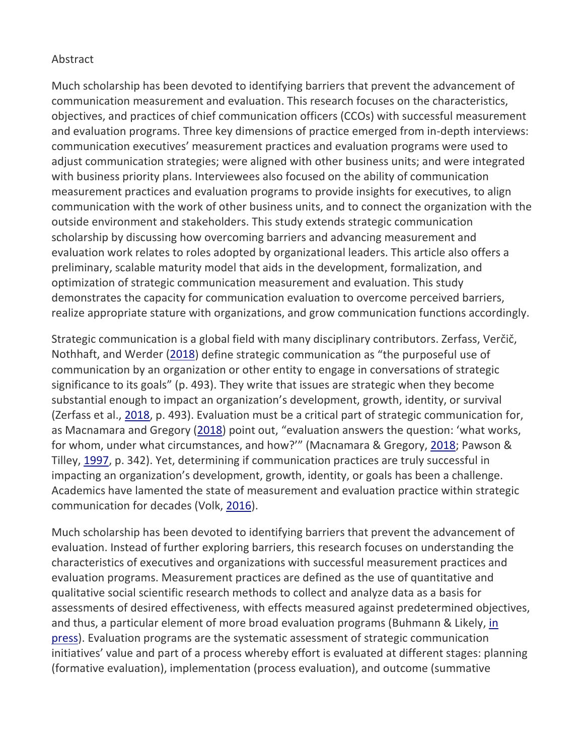#### Abstract

Much scholarship has been devoted to identifying barriers that prevent the advancement of communication measurement and evaluation. This research focuses on the characteristics, objectives, and practices of chief communication officers (CCOs) with successful measurement and evaluation programs. Three key dimensions of practice emerged from in-depth interviews: communication executives' measurement practices and evaluation programs were used to adjust communication strategies; were aligned with other business units; and were integrated with business priority plans. Interviewees also focused on the ability of communication measurement practices and evaluation programs to provide insights for executives, to align communication with the work of other business units, and to connect the organization with the outside environment and stakeholders. This study extends strategic communication scholarship by discussing how overcoming barriers and advancing measurement and evaluation work relates to roles adopted by organizational leaders. This article also offers a preliminary, scalable maturity model that aids in the development, formalization, and optimization of strategic communication measurement and evaluation. This study demonstrates the capacity for communication evaluation to overcome perceived barriers, realize appropriate stature with organizations, and grow communication functions accordingly.

Strategic communication is a global field with many disciplinary contributors. Zerfass, Verčič, Nothhaft, and Werder [\(2018\)](https://www.tandfonline.com/doi/full/10.1080/1553118X.2018.1533555) define strategic communication as "the purposeful use of communication by an organization or other entity to engage in conversations of strategic significance to its goals" (p. 493). They write that issues are strategic when they become substantial enough to impact an organization's development, growth, identity, or survival (Zerfass et al., [2018,](https://www.tandfonline.com/doi/full/10.1080/1553118X.2018.1533555) p. 493). Evaluation must be a critical part of strategic communication for, as Macnamara and Gregory [\(2018\)](https://www.tandfonline.com/doi/full/10.1080/1553118X.2018.1533555) point out, "evaluation answers the question: 'what works, for whom, under what circumstances, and how?'" (Macnamara & Gregory, [2018;](https://www.tandfonline.com/doi/full/10.1080/1553118X.2018.1533555) Pawson & Tilley, [1997,](https://www.tandfonline.com/doi/full/10.1080/1553118X.2018.1533555) p. 342). Yet, determining if communication practices are truly successful in impacting an organization's development, growth, identity, or goals has been a challenge. Academics have lamented the state of measurement and evaluation practice within strategic communication for decades (Volk, [2016\)](https://www.tandfonline.com/doi/full/10.1080/1553118X.2018.1533555).

Much scholarship has been devoted to identifying barriers that prevent the advancement of evaluation. Instead of further exploring barriers, this research focuses on understanding the characteristics of executives and organizations with successful measurement practices and evaluation programs. Measurement practices are defined as the use of quantitative and qualitative social scientific research methods to collect and analyze data as a basis for assessments of desired effectiveness, with effects measured against predetermined objectives, and thus, a particular element of more broad evaluation programs (Buhmann & Likely, in [press\)](https://www.tandfonline.com/doi/full/10.1080/1553118X.2018.1533555). Evaluation programs are the systematic assessment of strategic communication initiatives' value and part of a process whereby effort is evaluated at different stages: planning (formative evaluation), implementation (process evaluation), and outcome (summative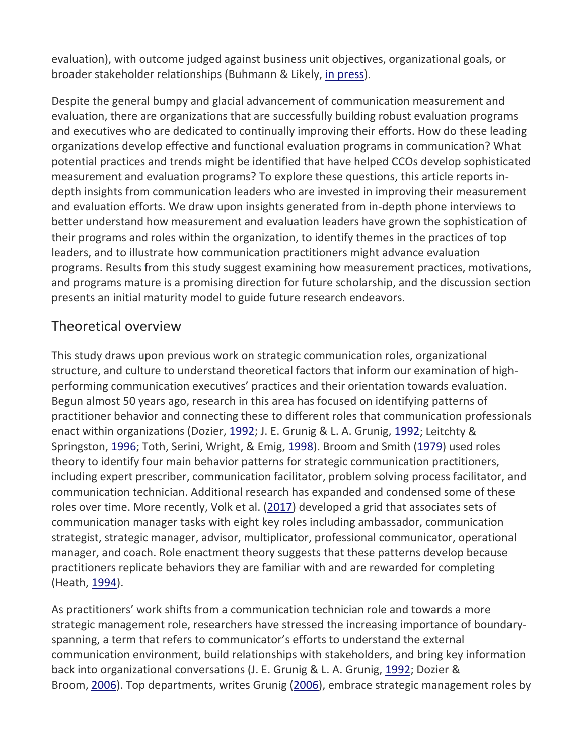evaluation), with outcome judged against business unit objectives, organizational goals, or broader stakeholder relationships (Buhmann & Likely, [in press\)](https://www.tandfonline.com/doi/full/10.1080/1553118X.2018.1533555).

Despite the general bumpy and glacial advancement of communication measurement and evaluation, there are organizations that are successfully building robust evaluation programs and executives who are dedicated to continually improving their efforts. How do these leading organizations develop effective and functional evaluation programs in communication? What potential practices and trends might be identified that have helped CCOs develop sophisticated measurement and evaluation programs? To explore these questions, this article reports indepth insights from communication leaders who are invested in improving their measurement and evaluation efforts. We draw upon insights generated from in-depth phone interviews to better understand how measurement and evaluation leaders have grown the sophistication of their programs and roles within the organization, to identify themes in the practices of top leaders, and to illustrate how communication practitioners might advance evaluation programs. Results from this study suggest examining how measurement practices, motivations, and programs mature is a promising direction for future scholarship, and the discussion section presents an initial maturity model to guide future research endeavors.

## Theoretical overview

This study draws upon previous work on strategic communication roles, organizational structure, and culture to understand theoretical factors that inform our examination of highperforming communication executives' practices and their orientation towards evaluation. Begun almost 50 years ago, research in this area has focused on identifying patterns of practitioner behavior and connecting these to different roles that communication professionals enact within organizations (Dozier, [1992;](https://www.tandfonline.com/doi/full/10.1080/1553118X.2018.1533555) J. E. Grunig & L. A. Grunig, 1992; Leitchty & Springston, [1996;](https://www.tandfonline.com/doi/full/10.1080/1553118X.2018.1533555) Toth, Serini, Wright, & Emig, [1998\)](https://www.tandfonline.com/doi/full/10.1080/1553118X.2018.1533555). Broom and Smith [\(1979\)](https://www.tandfonline.com/doi/full/10.1080/1553118X.2018.1533555) used roles theory to identify four main behavior patterns for strategic communication practitioners, including expert prescriber, communication facilitator, problem solving process facilitator, and communication technician. Additional research has expanded and condensed some of these roles over time. More recently, Volk et al. [\(2017\)](https://www.tandfonline.com/doi/full/10.1080/1553118X.2018.1533555) developed a grid that associates sets of communication manager tasks with eight key roles including ambassador, communication strategist, strategic manager, advisor, multiplicator, professional communicator, operational manager, and coach. Role enactment theory suggests that these patterns develop because practitioners replicate behaviors they are familiar with and are rewarded for completing (Heath, [1994\)](https://www.tandfonline.com/doi/full/10.1080/1553118X.2018.1533555).

As practitioners' work shifts from a communication technician role and towards a more strategic management role, researchers have stressed the increasing importance of boundaryspanning, a term that refers to communicator's efforts to understand the external communication environment, build relationships with stakeholders, and bring key information back into organizational conversations (J. E. Grunig & L. A. Grunig, [1992;](https://www.tandfonline.com/doi/full/10.1080/1553118X.2018.1533555) Dozier & Broom, [2006\)](https://www.tandfonline.com/doi/full/10.1080/1553118X.2018.1533555). Top departments, writes Grunig [\(2006\)](https://www.tandfonline.com/doi/full/10.1080/1553118X.2018.1533555), embrace strategic management roles by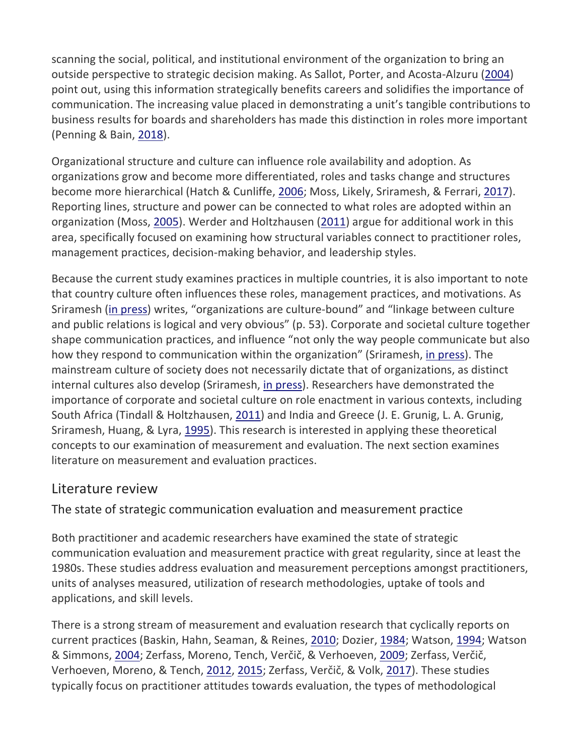scanning the social, political, and institutional environment of the organization to bring an outside perspective to strategic decision making. As Sallot, Porter, and Acosta-Alzuru [\(2004\)](https://www.tandfonline.com/doi/full/10.1080/1553118X.2018.1533555) point out, using this information strategically benefits careers and solidifies the importance of communication. The increasing value placed in demonstrating a unit's tangible contributions to business results for boards and shareholders has made this distinction in roles more important (Penning & Bain, [2018\)](https://www.tandfonline.com/doi/full/10.1080/1553118X.2018.1533555).

Organizational structure and culture can influence role availability and adoption. As organizations grow and become more differentiated, roles and tasks change and structures become more hierarchical (Hatch & Cunliffe, [2006;](https://www.tandfonline.com/doi/full/10.1080/1553118X.2018.1533555) Moss, Likely, Sriramesh, & Ferrari, [2017\)](https://www.tandfonline.com/doi/full/10.1080/1553118X.2018.1533555). Reporting lines, structure and power can be connected to what roles are adopted within an organization (Moss, [2005\)](https://www.tandfonline.com/doi/full/10.1080/1553118X.2018.1533555). Werder and Holtzhausen [\(2011\)](https://www.tandfonline.com/doi/full/10.1080/1553118X.2018.1533555) argue for additional work in this area, specifically focused on examining how structural variables connect to practitioner roles, management practices, decision-making behavior, and leadership styles.

Because the current study examines practices in multiple countries, it is also important to note that country culture often influences these roles, management practices, and motivations. As Sriramesh [\(in press\)](https://www.tandfonline.com/doi/full/10.1080/1553118X.2018.1533555) writes, "organizations are culture-bound" and "linkage between culture and public relations is logical and very obvious" (p. 53). Corporate and societal culture together shape communication practices, and influence "not only the way people communicate but also how they respond to communication within the organization" (Sriramesh, [in press\)](https://www.tandfonline.com/doi/full/10.1080/1553118X.2018.1533555). The mainstream culture of society does not necessarily dictate that of organizations, as distinct internal cultures also develop (Sriramesh, [in press\)](https://www.tandfonline.com/doi/full/10.1080/1553118X.2018.1533555). Researchers have demonstrated the importance of corporate and societal culture on role enactment in various contexts, including South Africa (Tindall & Holtzhausen, [2011\)](https://www.tandfonline.com/doi/full/10.1080/1553118X.2018.1533555) and India and Greece (J. E. Grunig, L. A. Grunig, Sriramesh, Huang, & Lyra, [1995\)](https://www.tandfonline.com/doi/full/10.1080/1553118X.2018.1533555). This research is interested in applying these theoretical concepts to our examination of measurement and evaluation. The next section examines literature on measurement and evaluation practices.

## Literature review

The state of strategic communication evaluation and measurement practice

Both practitioner and academic researchers have examined the state of strategic communication evaluation and measurement practice with great regularity, since at least the 1980s. These studies address evaluation and measurement perceptions amongst practitioners, units of analyses measured, utilization of research methodologies, uptake of tools and applications, and skill levels.

There is a strong stream of measurement and evaluation research that cyclically reports on current practices (Baskin, Hahn, Seaman, & Reines, [2010;](https://www.tandfonline.com/doi/full/10.1080/1553118X.2018.1533555) Dozier, [1984;](https://www.tandfonline.com/doi/full/10.1080/1553118X.2018.1533555) Watson, [1994;](https://www.tandfonline.com/doi/full/10.1080/1553118X.2018.1533555) Watson & Simmons, [2004](https://www.tandfonline.com/doi/full/10.1080/1553118X.2018.1533555); Zerfass, Moreno, Tench, Verčič, & Verhoeven, [2009;](https://www.tandfonline.com/doi/full/10.1080/1553118X.2018.1533555) Zerfass, Verčič, Verhoeven, Moreno, & Tench, [2012,](https://www.tandfonline.com/doi/full/10.1080/1553118X.2018.1533555) [2015;](https://www.tandfonline.com/doi/full/10.1080/1553118X.2018.1533555) Zerfass, Verčič, & Volk, [2017\)](https://www.tandfonline.com/doi/full/10.1080/1553118X.2018.1533555). These studies typically focus on practitioner attitudes towards evaluation, the types of methodological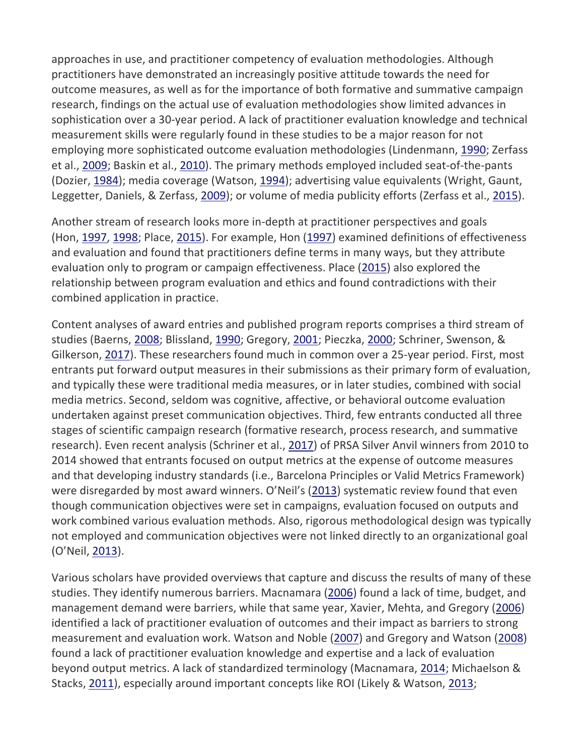approaches in use, and practitioner competency of evaluation methodologies. Although practitioners have demonstrated an increasingly positive attitude towards the need for outcome measures, as well as for the importance of both formative and summative campaign research, findings on the actual use of evaluation methodologies show limited advances in sophistication over a 30-year period. A lack of practitioner evaluation knowledge and technical measurement skills were regularly found in these studies to be a major reason for not employing more sophisticated outcome evaluation methodologies (Lindenmann, [1990;](https://www.tandfonline.com/doi/full/10.1080/1553118X.2018.1533555) Zerfass et al., [2009;](https://www.tandfonline.com/doi/full/10.1080/1553118X.2018.1533555) Baskin et al., [2010\)](https://www.tandfonline.com/doi/full/10.1080/1553118X.2018.1533555). The primary methods employed included seat-of-the-pants (Dozier, [1984\)](https://www.tandfonline.com/doi/full/10.1080/1553118X.2018.1533555); media coverage (Watson, [1994\)](https://www.tandfonline.com/doi/full/10.1080/1553118X.2018.1533555); advertising value equivalents (Wright, Gaunt, Leggetter, Daniels, & Zerfass, [2009\)](https://www.tandfonline.com/doi/full/10.1080/1553118X.2018.1533555); or volume of media publicity efforts (Zerfass et al., [2015\)](https://www.tandfonline.com/doi/full/10.1080/1553118X.2018.1533555).

Another stream of research looks more in-depth at practitioner perspectives and goals (Hon, [1997,](https://www.tandfonline.com/doi/full/10.1080/1553118X.2018.1533555) [1998;](https://www.tandfonline.com/doi/full/10.1080/1553118X.2018.1533555) Place, [2015\)](https://www.tandfonline.com/doi/full/10.1080/1553118X.2018.1533555). For example, Hon [\(1997\)](https://www.tandfonline.com/doi/full/10.1080/1553118X.2018.1533555) examined definitions of effectiveness and evaluation and found that practitioners define terms in many ways, but they attribute evaluation only to program or campaign effectiveness. Place [\(2015\)](https://www.tandfonline.com/doi/full/10.1080/1553118X.2018.1533555) also explored the relationship between program evaluation and ethics and found contradictions with their combined application in practice.

Content analyses of award entries and published program reports comprises a third stream of studies (Baerns, [2008;](https://www.tandfonline.com/doi/full/10.1080/1553118X.2018.1533555) Blissland, [1990;](https://www.tandfonline.com/doi/full/10.1080/1553118X.2018.1533555) Gregory, [2001;](https://www.tandfonline.com/doi/full/10.1080/1553118X.2018.1533555) Pieczka, [2000;](https://www.tandfonline.com/doi/full/10.1080/1553118X.2018.1533555) Schriner, Swenson, & Gilkerson, [2017\)](https://www.tandfonline.com/doi/full/10.1080/1553118X.2018.1533555). These researchers found much in common over a 25-year period. First, most entrants put forward output measures in their submissions as their primary form of evaluation, and typically these were traditional media measures, or in later studies, combined with social media metrics. Second, seldom was cognitive, affective, or behavioral outcome evaluation undertaken against preset communication objectives. Third, few entrants conducted all three stages of scientific campaign research (formative research, process research, and summative research). Even recent analysis (Schriner et al., [2017\)](https://www.tandfonline.com/doi/full/10.1080/1553118X.2018.1533555) of PRSA Silver Anvil winners from 2010 to 2014 showed that entrants focused on output metrics at the expense of outcome measures and that developing industry standards (i.e., Barcelona Principles or Valid Metrics Framework) were disregarded by most award winners. O'Neil's [\(2013\)](https://www.tandfonline.com/doi/full/10.1080/1553118X.2018.1533555) systematic review found that even though communication objectives were set in campaigns, evaluation focused on outputs and work combined various evaluation methods. Also, rigorous methodological design was typically not employed and communication objectives were not linked directly to an organizational goal (O'Neil, [2013\)](https://www.tandfonline.com/doi/full/10.1080/1553118X.2018.1533555).

Various scholars have provided overviews that capture and discuss the results of many of these studies. They identify numerous barriers. Macnamara [\(2006\)](https://www.tandfonline.com/doi/full/10.1080/1553118X.2018.1533555) found a lack of time, budget, and management demand were barriers, while that same year, Xavier, Mehta, and Gregory [\(2006\)](https://www.tandfonline.com/doi/full/10.1080/1553118X.2018.1533555) identified a lack of practitioner evaluation of outcomes and their impact as barriers to strong measurement and evaluation work. Watson and Noble [\(2007\)](https://www.tandfonline.com/doi/full/10.1080/1553118X.2018.1533555) and Gregory and Watson [\(2008\)](https://www.tandfonline.com/doi/full/10.1080/1553118X.2018.1533555) found a lack of practitioner evaluation knowledge and expertise and a lack of evaluation beyond output metrics. A lack of standardized terminology (Macnamara, [2014;](https://www.tandfonline.com/doi/full/10.1080/1553118X.2018.1533555) Michaelson & Stacks, [2011\)](https://www.tandfonline.com/doi/full/10.1080/1553118X.2018.1533555), especially around important concepts like ROI (Likely & Watson, [2013;](https://www.tandfonline.com/doi/full/10.1080/1553118X.2018.1533555)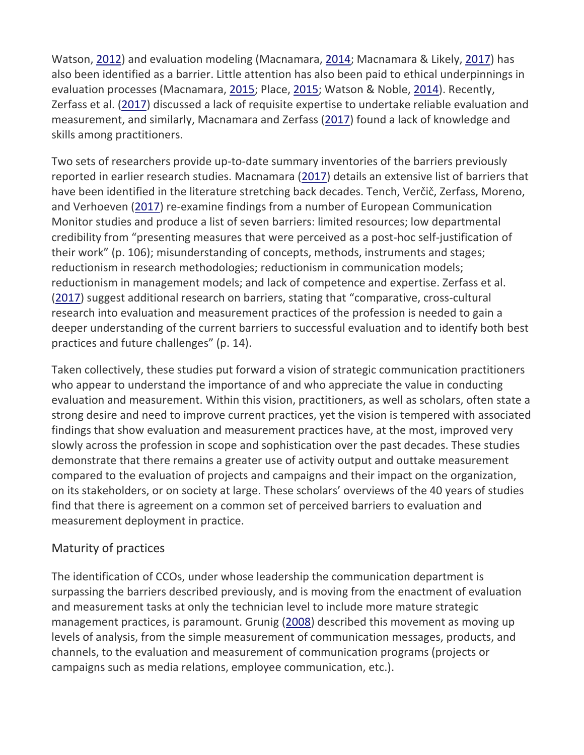Watson, [2012\)](https://www.tandfonline.com/doi/full/10.1080/1553118X.2018.1533555) and evaluation modeling (Macnamara, [2014;](https://www.tandfonline.com/doi/full/10.1080/1553118X.2018.1533555) Macnamara & Likely, [2017\)](https://www.tandfonline.com/doi/full/10.1080/1553118X.2018.1533555) has also been identified as a barrier. Little attention has also been paid to ethical underpinnings in evaluation processes (Macnamara, [2015;](https://www.tandfonline.com/doi/full/10.1080/1553118X.2018.1533555) Place, [2015;](https://www.tandfonline.com/doi/full/10.1080/1553118X.2018.1533555) Watson & Noble, [2014\)](https://www.tandfonline.com/doi/full/10.1080/1553118X.2018.1533555). Recently, Zerfass et al. [\(2017\)](https://www.tandfonline.com/doi/full/10.1080/1553118X.2018.1533555) discussed a lack of requisite expertise to undertake reliable evaluation and measurement, and similarly, Macnamara and Zerfass [\(2017\)](https://www.tandfonline.com/doi/full/10.1080/1553118X.2018.1533555) found a lack of knowledge and skills among practitioners.

Two sets of researchers provide up-to-date summary inventories of the barriers previously reported in earlier research studies. Macnamara [\(2017\)](https://www.tandfonline.com/doi/full/10.1080/1553118X.2018.1533555) details an extensive list of barriers that have been identified in the literature stretching back decades. Tench, Verčič, Zerfass, Moreno, and Verhoeven [\(2017\)](https://www.tandfonline.com/doi/full/10.1080/1553118X.2018.1533555) re-examine findings from a number of European Communication Monitor studies and produce a list of seven barriers: limited resources; low departmental credibility from "presenting measures that were perceived as a post-hoc self-justification of their work" (p. 106); misunderstanding of concepts, methods, instruments and stages; reductionism in research methodologies; reductionism in communication models; reductionism in management models; and lack of competence and expertise. Zerfass et al. [\(2017\)](https://www.tandfonline.com/doi/full/10.1080/1553118X.2018.1533555) suggest additional research on barriers, stating that "comparative, cross-cultural research into evaluation and measurement practices of the profession is needed to gain a deeper understanding of the current barriers to successful evaluation and to identify both best practices and future challenges" (p. 14).

Taken collectively, these studies put forward a vision of strategic communication practitioners who appear to understand the importance of and who appreciate the value in conducting evaluation and measurement. Within this vision, practitioners, as well as scholars, often state a strong desire and need to improve current practices, yet the vision is tempered with associated findings that show evaluation and measurement practices have, at the most, improved very slowly across the profession in scope and sophistication over the past decades. These studies demonstrate that there remains a greater use of activity output and outtake measurement compared to the evaluation of projects and campaigns and their impact on the organization, on its stakeholders, or on society at large. These scholars' overviews of the 40 years of studies find that there is agreement on a common set of perceived barriers to evaluation and measurement deployment in practice.

#### Maturity of practices

The identification of CCOs, under whose leadership the communication department is surpassing the barriers described previously, and is moving from the enactment of evaluation and measurement tasks at only the technician level to include more mature strategic management practices, is paramount. Grunig [\(2008\)](https://www.tandfonline.com/doi/full/10.1080/1553118X.2018.1533555) described this movement as moving up levels of analysis, from the simple measurement of communication messages, products, and channels, to the evaluation and measurement of communication programs (projects or campaigns such as media relations, employee communication, etc.).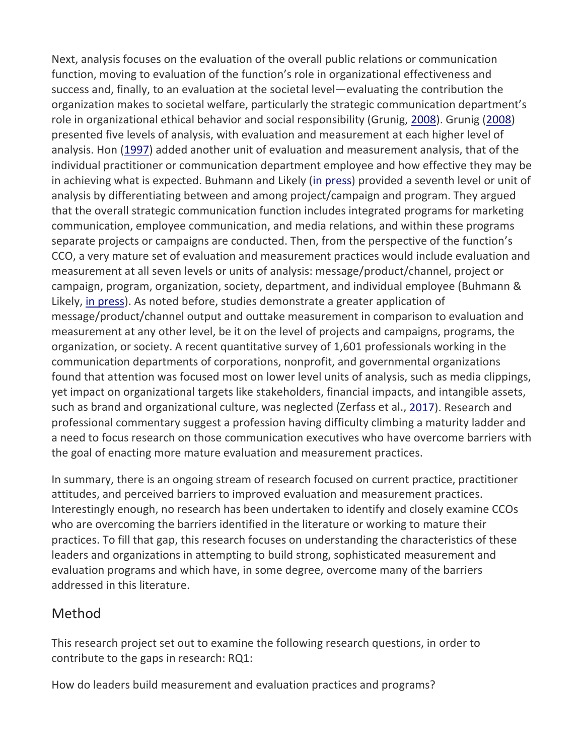Next, analysis focuses on the evaluation of the overall public relations or communication function, moving to evaluation of the function's role in organizational effectiveness and success and, finally, to an evaluation at the societal level—evaluating the contribution the organization makes to societal welfare, particularly the strategic communication department's role in organizational ethical behavior and social responsibility (Grunig, [2008\)](https://www.tandfonline.com/doi/full/10.1080/1553118X.2018.1533555). Grunig [\(2008\)](https://www.tandfonline.com/doi/full/10.1080/1553118X.2018.1533555) presented five levels of analysis, with evaluation and measurement at each higher level of analysis. Hon [\(1997\)](https://www.tandfonline.com/doi/full/10.1080/1553118X.2018.1533555) added another unit of evaluation and measurement analysis, that of the individual practitioner or communication department employee and how effective they may be in achieving what is expected. Buhmann and Likely [\(in press\)](https://www.tandfonline.com/doi/full/10.1080/1553118X.2018.1533555) provided a seventh level or unit of analysis by differentiating between and among project/campaign and program. They argued that the overall strategic communication function includes integrated programs for marketing communication, employee communication, and media relations, and within these programs separate projects or campaigns are conducted. Then, from the perspective of the function's CCO, a very mature set of evaluation and measurement practices would include evaluation and measurement at all seven levels or units of analysis: message/product/channel, project or campaign, program, organization, society, department, and individual employee (Buhmann & Likely, [in press\)](https://www.tandfonline.com/doi/full/10.1080/1553118X.2018.1533555). As noted before, studies demonstrate a greater application of message/product/channel output and outtake measurement in comparison to evaluation and measurement at any other level, be it on the level of projects and campaigns, programs, the organization, or society. A recent quantitative survey of 1,601 professionals working in the communication departments of corporations, nonprofit, and governmental organizations found that attention was focused most on lower level units of analysis, such as media clippings, yet impact on organizational targets like stakeholders, financial impacts, and intangible assets, such as brand and organizational culture, was neglected (Zerfass et al., [2017\)](https://www.tandfonline.com/doi/full/10.1080/1553118X.2018.1533555). Research and professional commentary suggest a profession having difficulty climbing a maturity ladder and a need to focus research on those communication executives who have overcome barriers with the goal of enacting more mature evaluation and measurement practices.

In summary, there is an ongoing stream of research focused on current practice, practitioner attitudes, and perceived barriers to improved evaluation and measurement practices. Interestingly enough, no research has been undertaken to identify and closely examine CCOs who are overcoming the barriers identified in the literature or working to mature their practices. To fill that gap, this research focuses on understanding the characteristics of these leaders and organizations in attempting to build strong, sophisticated measurement and evaluation programs and which have, in some degree, overcome many of the barriers addressed in this literature.

## Method

This research project set out to examine the following research questions, in order to contribute to the gaps in research: RQ1:

How do leaders build measurement and evaluation practices and programs?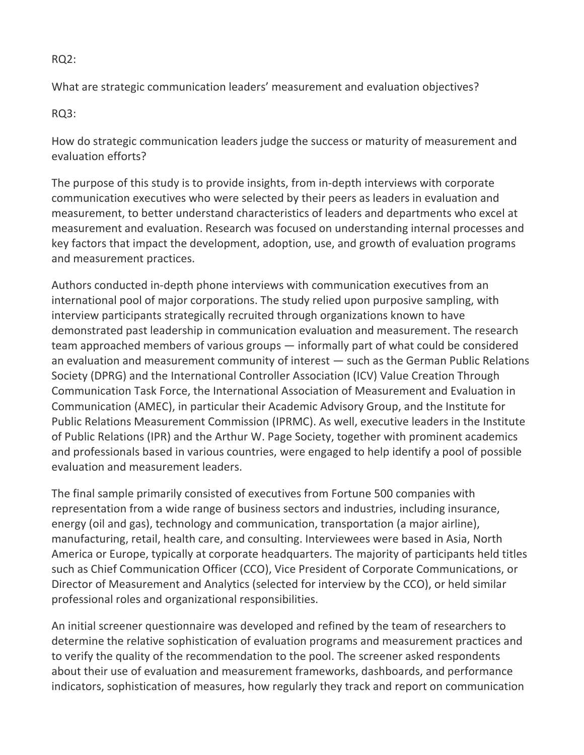RQ2:

What are strategic communication leaders' measurement and evaluation objectives?

RQ3:

How do strategic communication leaders judge the success or maturity of measurement and evaluation efforts?

The purpose of this study is to provide insights, from in-depth interviews with corporate communication executives who were selected by their peers as leaders in evaluation and measurement, to better understand characteristics of leaders and departments who excel at measurement and evaluation. Research was focused on understanding internal processes and key factors that impact the development, adoption, use, and growth of evaluation programs and measurement practices.

Authors conducted in-depth phone interviews with communication executives from an international pool of major corporations. The study relied upon purposive sampling, with interview participants strategically recruited through organizations known to have demonstrated past leadership in communication evaluation and measurement. The research team approached members of various groups — informally part of what could be considered an evaluation and measurement community of interest — such as the German Public Relations Society (DPRG) and the International Controller Association (ICV) Value Creation Through Communication Task Force, the International Association of Measurement and Evaluation in Communication (AMEC), in particular their Academic Advisory Group, and the Institute for Public Relations Measurement Commission (IPRMC). As well, executive leaders in the Institute of Public Relations (IPR) and the Arthur W. Page Society, together with prominent academics and professionals based in various countries, were engaged to help identify a pool of possible evaluation and measurement leaders.

The final sample primarily consisted of executives from Fortune 500 companies with representation from a wide range of business sectors and industries, including insurance, energy (oil and gas), technology and communication, transportation (a major airline), manufacturing, retail, health care, and consulting. Interviewees were based in Asia, North America or Europe, typically at corporate headquarters. The majority of participants held titles such as Chief Communication Officer (CCO), Vice President of Corporate Communications, or Director of Measurement and Analytics (selected for interview by the CCO), or held similar professional roles and organizational responsibilities.

An initial screener questionnaire was developed and refined by the team of researchers to determine the relative sophistication of evaluation programs and measurement practices and to verify the quality of the recommendation to the pool. The screener asked respondents about their use of evaluation and measurement frameworks, dashboards, and performance indicators, sophistication of measures, how regularly they track and report on communication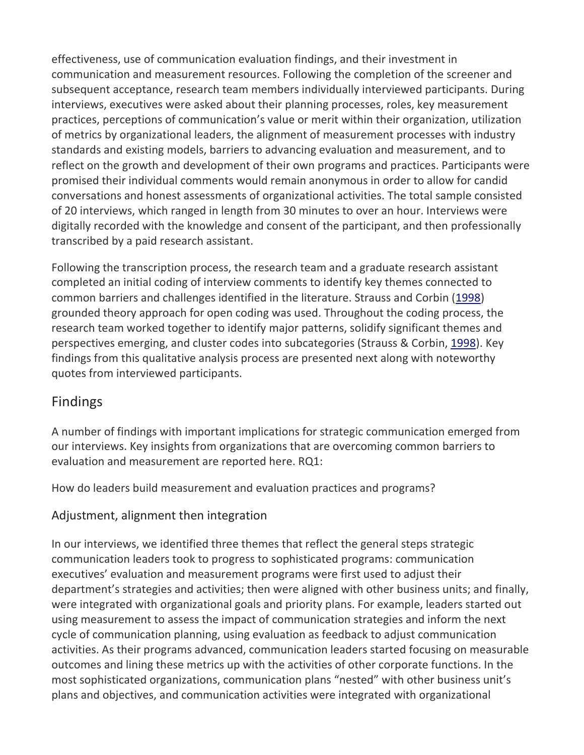effectiveness, use of communication evaluation findings, and their investment in communication and measurement resources. Following the completion of the screener and subsequent acceptance, research team members individually interviewed participants. During interviews, executives were asked about their planning processes, roles, key measurement practices, perceptions of communication's value or merit within their organization, utilization of metrics by organizational leaders, the alignment of measurement processes with industry standards and existing models, barriers to advancing evaluation and measurement, and to reflect on the growth and development of their own programs and practices. Participants were promised their individual comments would remain anonymous in order to allow for candid conversations and honest assessments of organizational activities. The total sample consisted of 20 interviews, which ranged in length from 30 minutes to over an hour. Interviews were digitally recorded with the knowledge and consent of the participant, and then professionally transcribed by a paid research assistant.

Following the transcription process, the research team and a graduate research assistant completed an initial coding of interview comments to identify key themes connected to common barriers and challenges identified in the literature. Strauss and Corbin [\(1998\)](https://www.tandfonline.com/doi/full/10.1080/1553118X.2018.1533555) grounded theory approach for open coding was used. Throughout the coding process, the research team worked together to identify major patterns, solidify significant themes and perspectives emerging, and cluster codes into subcategories (Strauss & Corbin, [1998\)](https://www.tandfonline.com/doi/full/10.1080/1553118X.2018.1533555). Key findings from this qualitative analysis process are presented next along with noteworthy quotes from interviewed participants.

## Findings

A number of findings with important implications for strategic communication emerged from our interviews. Key insights from organizations that are overcoming common barriers to evaluation and measurement are reported here. RQ1:

How do leaders build measurement and evaluation practices and programs?

## Adjustment, alignment then integration

In our interviews, we identified three themes that reflect the general steps strategic communication leaders took to progress to sophisticated programs: communication executives' evaluation and measurement programs were first used to adjust their department's strategies and activities; then were aligned with other business units; and finally, were integrated with organizational goals and priority plans. For example, leaders started out using measurement to assess the impact of communication strategies and inform the next cycle of communication planning, using evaluation as feedback to adjust communication activities. As their programs advanced, communication leaders started focusing on measurable outcomes and lining these metrics up with the activities of other corporate functions. In the most sophisticated organizations, communication plans "nested" with other business unit's plans and objectives, and communication activities were integrated with organizational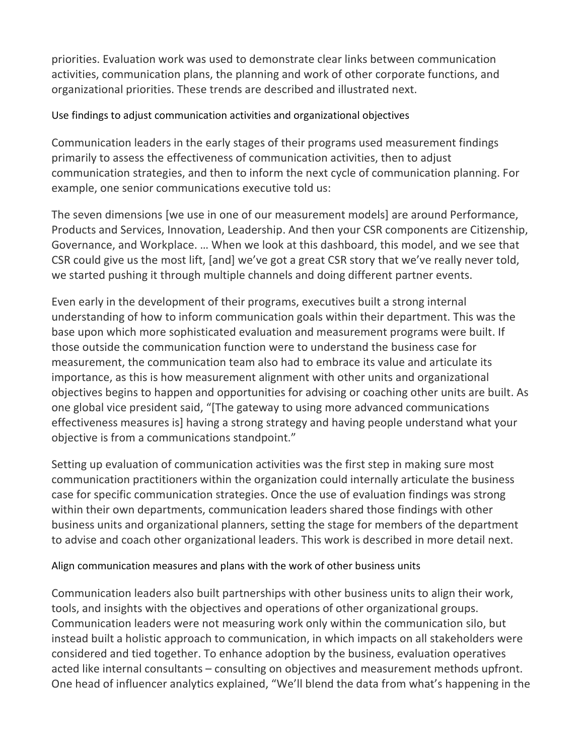priorities. Evaluation work was used to demonstrate clear links between communication activities, communication plans, the planning and work of other corporate functions, and organizational priorities. These trends are described and illustrated next.

#### Use findings to adjust communication activities and organizational objectives

Communication leaders in the early stages of their programs used measurement findings primarily to assess the effectiveness of communication activities, then to adjust communication strategies, and then to inform the next cycle of communication planning. For example, one senior communications executive told us:

The seven dimensions [we use in one of our measurement models] are around Performance, Products and Services, Innovation, Leadership. And then your CSR components are Citizenship, Governance, and Workplace. … When we look at this dashboard, this model, and we see that CSR could give us the most lift, [and] we've got a great CSR story that we've really never told, we started pushing it through multiple channels and doing different partner events.

Even early in the development of their programs, executives built a strong internal understanding of how to inform communication goals within their department. This was the base upon which more sophisticated evaluation and measurement programs were built. If those outside the communication function were to understand the business case for measurement, the communication team also had to embrace its value and articulate its importance, as this is how measurement alignment with other units and organizational objectives begins to happen and opportunities for advising or coaching other units are built. As one global vice president said, "[The gateway to using more advanced communications effectiveness measures is] having a strong strategy and having people understand what your objective is from a communications standpoint."

Setting up evaluation of communication activities was the first step in making sure most communication practitioners within the organization could internally articulate the business case for specific communication strategies. Once the use of evaluation findings was strong within their own departments, communication leaders shared those findings with other business units and organizational planners, setting the stage for members of the department to advise and coach other organizational leaders. This work is described in more detail next.

#### Align communication measures and plans with the work of other business units

Communication leaders also built partnerships with other business units to align their work, tools, and insights with the objectives and operations of other organizational groups. Communication leaders were not measuring work only within the communication silo, but instead built a holistic approach to communication, in which impacts on all stakeholders were considered and tied together. To enhance adoption by the business, evaluation operatives acted like internal consultants – consulting on objectives and measurement methods upfront. One head of influencer analytics explained, "We'll blend the data from what's happening in the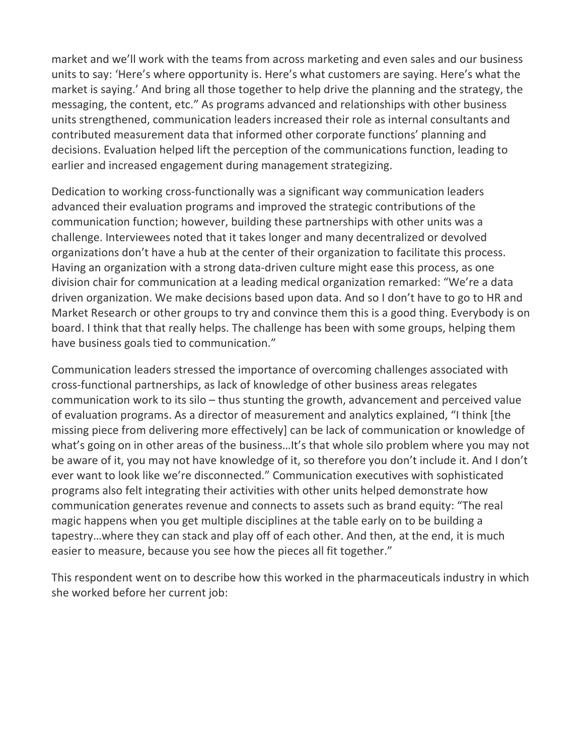market and we'll work with the teams from across marketing and even sales and our business units to say: 'Here's where opportunity is. Here's what customers are saying. Here's what the market is saying.' And bring all those together to help drive the planning and the strategy, the messaging, the content, etc." As programs advanced and relationships with other business units strengthened, communication leaders increased their role as internal consultants and contributed measurement data that informed other corporate functions' planning and decisions. Evaluation helped lift the perception of the communications function, leading to earlier and increased engagement during management strategizing.

Dedication to working cross-functionally was a significant way communication leaders advanced their evaluation programs and improved the strategic contributions of the communication function; however, building these partnerships with other units was a challenge. Interviewees noted that it takes longer and many decentralized or devolved organizations don't have a hub at the center of their organization to facilitate this process. Having an organization with a strong data-driven culture might ease this process, as one division chair for communication at a leading medical organization remarked: "We're a data driven organization. We make decisions based upon data. And so I don't have to go to HR and Market Research or other groups to try and convince them this is a good thing. Everybody is on board. I think that that really helps. The challenge has been with some groups, helping them have business goals tied to communication."

Communication leaders stressed the importance of overcoming challenges associated with cross-functional partnerships, as lack of knowledge of other business areas relegates communication work to its silo – thus stunting the growth, advancement and perceived value of evaluation programs. As a director of measurement and analytics explained, "I think [the missing piece from delivering more effectively] can be lack of communication or knowledge of what's going on in other areas of the business...It's that whole silo problem where you may not be aware of it, you may not have knowledge of it, so therefore you don't include it. And I don't ever want to look like we're disconnected." Communication executives with sophisticated programs also felt integrating their activities with other units helped demonstrate how communication generates revenue and connects to assets such as brand equity: "The real magic happens when you get multiple disciplines at the table early on to be building a tapestry…where they can stack and play off of each other. And then, at the end, it is much easier to measure, because you see how the pieces all fit together."

This respondent went on to describe how this worked in the pharmaceuticals industry in which she worked before her current job: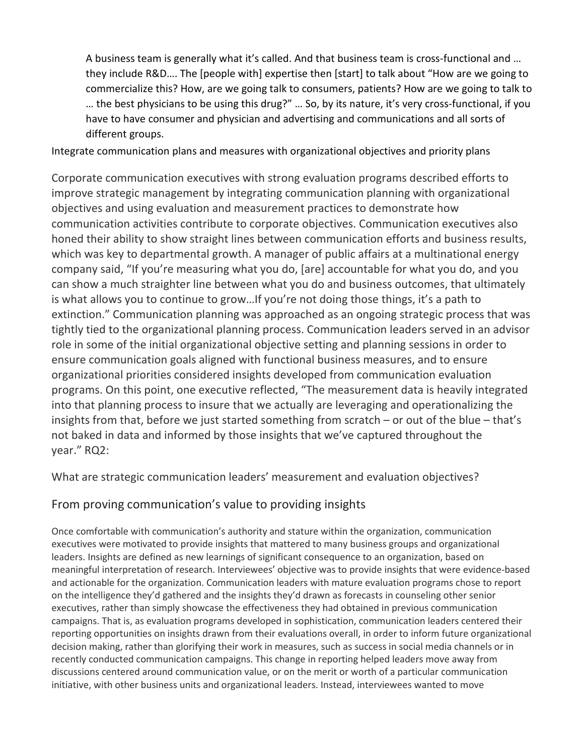A business team is generally what it's called. And that business team is cross-functional and … they include R&D…. The [people with] expertise then [start] to talk about "How are we going to commercialize this? How, are we going talk to consumers, patients? How are we going to talk to … the best physicians to be using this drug?" … So, by its nature, it's very cross-functional, if you have to have consumer and physician and advertising and communications and all sorts of different groups.

Integrate communication plans and measures with organizational objectives and priority plans

Corporate communication executives with strong evaluation programs described efforts to improve strategic management by integrating communication planning with organizational objectives and using evaluation and measurement practices to demonstrate how communication activities contribute to corporate objectives. Communication executives also honed their ability to show straight lines between communication efforts and business results, which was key to departmental growth. A manager of public affairs at a multinational energy company said, "If you're measuring what you do, [are] accountable for what you do, and you can show a much straighter line between what you do and business outcomes, that ultimately is what allows you to continue to grow…If you're not doing those things, it's a path to extinction." Communication planning was approached as an ongoing strategic process that was tightly tied to the organizational planning process. Communication leaders served in an advisor role in some of the initial organizational objective setting and planning sessions in order to ensure communication goals aligned with functional business measures, and to ensure organizational priorities considered insights developed from communication evaluation programs. On this point, one executive reflected, "The measurement data is heavily integrated into that planning process to insure that we actually are leveraging and operationalizing the insights from that, before we just started something from scratch – or out of the blue – that's not baked in data and informed by those insights that we've captured throughout the year." RQ2:

What are strategic communication leaders' measurement and evaluation objectives?

#### From proving communication's value to providing insights

Once comfortable with communication's authority and stature within the organization, communication executives were motivated to provide insights that mattered to many business groups and organizational leaders. Insights are defined as new learnings of significant consequence to an organization, based on meaningful interpretation of research. Interviewees' objective was to provide insights that were evidence-based and actionable for the organization. Communication leaders with mature evaluation programs chose to report on the intelligence they'd gathered and the insights they'd drawn as forecasts in counseling other senior executives, rather than simply showcase the effectiveness they had obtained in previous communication campaigns. That is, as evaluation programs developed in sophistication, communication leaders centered their reporting opportunities on insights drawn from their evaluations overall, in order to inform future organizational decision making, rather than glorifying their work in measures, such as success in social media channels or in recently conducted communication campaigns. This change in reporting helped leaders move away from discussions centered around communication value, or on the merit or worth of a particular communication initiative, with other business units and organizational leaders. Instead, interviewees wanted to move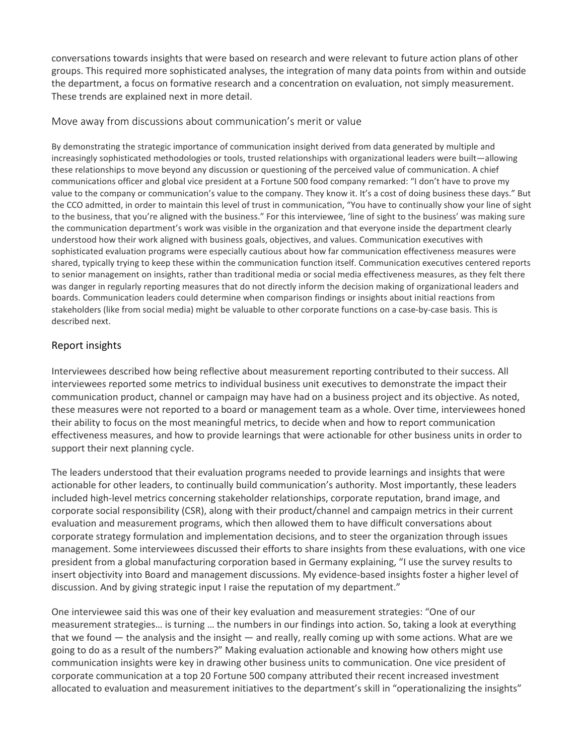conversations towards insights that were based on research and were relevant to future action plans of other groups. This required more sophisticated analyses, the integration of many data points from within and outside the department, a focus on formative research and a concentration on evaluation, not simply measurement. These trends are explained next in more detail.

#### Move away from discussions about communication's merit or value

By demonstrating the strategic importance of communication insight derived from data generated by multiple and increasingly sophisticated methodologies or tools, trusted relationships with organizational leaders were built—allowing these relationships to move beyond any discussion or questioning of the perceived value of communication. A chief communications officer and global vice president at a Fortune 500 food company remarked: "I don't have to prove my value to the company or communication's value to the company. They know it. It's a cost of doing business these days." But the CCO admitted, in order to maintain this level of trust in communication, "You have to continually show your line of sight to the business, that you're aligned with the business." For this interviewee, 'line of sight to the business' was making sure the communication department's work was visible in the organization and that everyone inside the department clearly understood how their work aligned with business goals, objectives, and values. Communication executives with sophisticated evaluation programs were especially cautious about how far communication effectiveness measures were shared, typically trying to keep these within the communication function itself. Communication executives centered reports to senior management on insights, rather than traditional media or social media effectiveness measures, as they felt there was danger in regularly reporting measures that do not directly inform the decision making of organizational leaders and boards. Communication leaders could determine when comparison findings or insights about initial reactions from stakeholders (like from social media) might be valuable to other corporate functions on a case-by-case basis. This is described next.

#### Report insights

Interviewees described how being reflective about measurement reporting contributed to their success. All interviewees reported some metrics to individual business unit executives to demonstrate the impact their communication product, channel or campaign may have had on a business project and its objective. As noted, these measures were not reported to a board or management team as a whole. Over time, interviewees honed their ability to focus on the most meaningful metrics, to decide when and how to report communication effectiveness measures, and how to provide learnings that were actionable for other business units in order to support their next planning cycle.

The leaders understood that their evaluation programs needed to provide learnings and insights that were actionable for other leaders, to continually build communication's authority. Most importantly, these leaders included high-level metrics concerning stakeholder relationships, corporate reputation, brand image, and corporate social responsibility (CSR), along with their product/channel and campaign metrics in their current evaluation and measurement programs, which then allowed them to have difficult conversations about corporate strategy formulation and implementation decisions, and to steer the organization through issues management. Some interviewees discussed their efforts to share insights from these evaluations, with one vice president from a global manufacturing corporation based in Germany explaining, "I use the survey results to insert objectivity into Board and management discussions. My evidence-based insights foster a higher level of discussion. And by giving strategic input I raise the reputation of my department."

One interviewee said this was one of their key evaluation and measurement strategies: "One of our measurement strategies… is turning … the numbers in our findings into action. So, taking a look at everything that we found — the analysis and the insight — and really, really coming up with some actions. What are we going to do as a result of the numbers?" Making evaluation actionable and knowing how others might use communication insights were key in drawing other business units to communication. One vice president of corporate communication at a top 20 Fortune 500 company attributed their recent increased investment allocated to evaluation and measurement initiatives to the department's skill in "operationalizing the insights"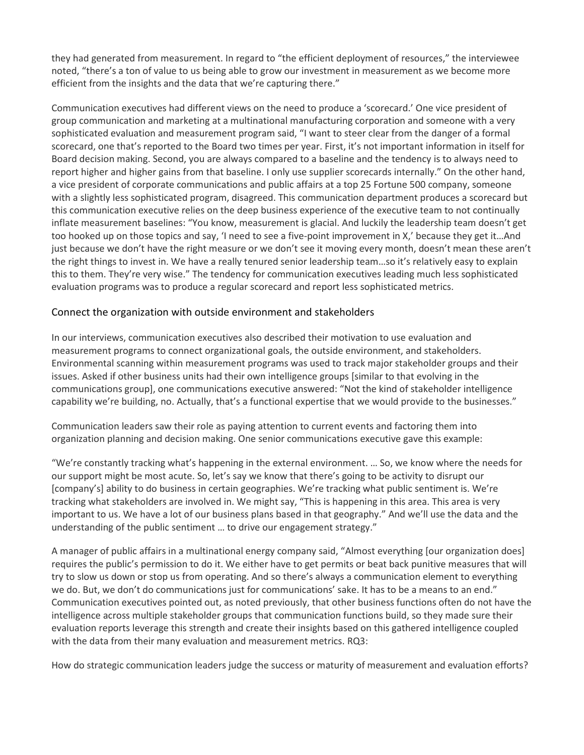they had generated from measurement. In regard to "the efficient deployment of resources," the interviewee noted, "there's a ton of value to us being able to grow our investment in measurement as we become more efficient from the insights and the data that we're capturing there."

Communication executives had different views on the need to produce a 'scorecard.' One vice president of group communication and marketing at a multinational manufacturing corporation and someone with a very sophisticated evaluation and measurement program said, "I want to steer clear from the danger of a formal scorecard, one that's reported to the Board two times per year. First, it's not important information in itself for Board decision making. Second, you are always compared to a baseline and the tendency is to always need to report higher and higher gains from that baseline. I only use supplier scorecards internally." On the other hand, a vice president of corporate communications and public affairs at a top 25 Fortune 500 company, someone with a slightly less sophisticated program, disagreed. This communication department produces a scorecard but this communication executive relies on the deep business experience of the executive team to not continually inflate measurement baselines: "You know, measurement is glacial. And luckily the leadership team doesn't get too hooked up on those topics and say, 'I need to see a five-point improvement in X,' because they get it…And just because we don't have the right measure or we don't see it moving every month, doesn't mean these aren't the right things to invest in. We have a really tenured senior leadership team…so it's relatively easy to explain this to them. They're very wise." The tendency for communication executives leading much less sophisticated evaluation programs was to produce a regular scorecard and report less sophisticated metrics.

#### Connect the organization with outside environment and stakeholders

In our interviews, communication executives also described their motivation to use evaluation and measurement programs to connect organizational goals, the outside environment, and stakeholders. Environmental scanning within measurement programs was used to track major stakeholder groups and their issues. Asked if other business units had their own intelligence groups [similar to that evolving in the communications group], one communications executive answered: "Not the kind of stakeholder intelligence capability we're building, no. Actually, that's a functional expertise that we would provide to the businesses."

Communication leaders saw their role as paying attention to current events and factoring them into organization planning and decision making. One senior communications executive gave this example:

"We're constantly tracking what's happening in the external environment. … So, we know where the needs for our support might be most acute. So, let's say we know that there's going to be activity to disrupt our [company's] ability to do business in certain geographies. We're tracking what public sentiment is. We're tracking what stakeholders are involved in. We might say, "This is happening in this area. This area is very important to us. We have a lot of our business plans based in that geography." And we'll use the data and the understanding of the public sentiment … to drive our engagement strategy."

A manager of public affairs in a multinational energy company said, "Almost everything [our organization does] requires the public's permission to do it. We either have to get permits or beat back punitive measures that will try to slow us down or stop us from operating. And so there's always a communication element to everything we do. But, we don't do communications just for communications' sake. It has to be a means to an end." Communication executives pointed out, as noted previously, that other business functions often do not have the intelligence across multiple stakeholder groups that communication functions build, so they made sure their evaluation reports leverage this strength and create their insights based on this gathered intelligence coupled with the data from their many evaluation and measurement metrics. RQ3:

How do strategic communication leaders judge the success or maturity of measurement and evaluation efforts?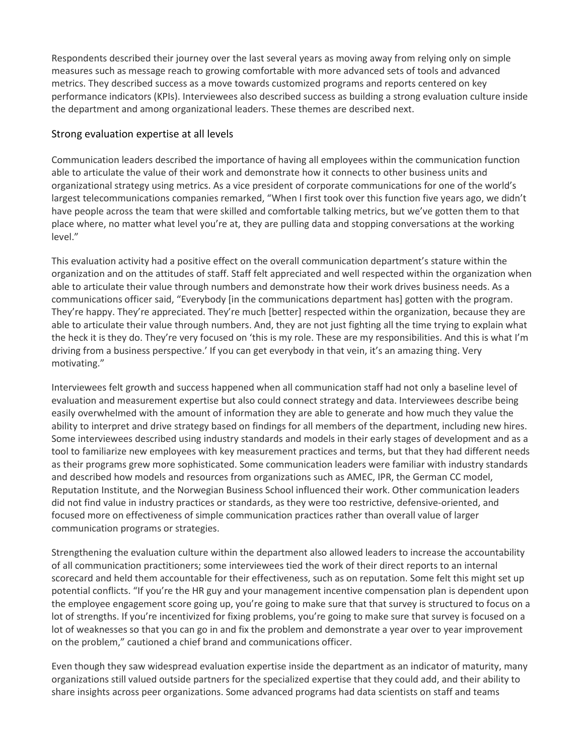Respondents described their journey over the last several years as moving away from relying only on simple measures such as message reach to growing comfortable with more advanced sets of tools and advanced metrics. They described success as a move towards customized programs and reports centered on key performance indicators (KPIs). Interviewees also described success as building a strong evaluation culture inside the department and among organizational leaders. These themes are described next.

#### Strong evaluation expertise at all levels

Communication leaders described the importance of having all employees within the communication function able to articulate the value of their work and demonstrate how it connects to other business units and organizational strategy using metrics. As a vice president of corporate communications for one of the world's largest telecommunications companies remarked, "When I first took over this function five years ago, we didn't have people across the team that were skilled and comfortable talking metrics, but we've gotten them to that place where, no matter what level you're at, they are pulling data and stopping conversations at the working level."

This evaluation activity had a positive effect on the overall communication department's stature within the organization and on the attitudes of staff. Staff felt appreciated and well respected within the organization when able to articulate their value through numbers and demonstrate how their work drives business needs. As a communications officer said, "Everybody [in the communications department has] gotten with the program. They're happy. They're appreciated. They're much [better] respected within the organization, because they are able to articulate their value through numbers. And, they are not just fighting all the time trying to explain what the heck it is they do. They're very focused on 'this is my role. These are my responsibilities. And this is what I'm driving from a business perspective.' If you can get everybody in that vein, it's an amazing thing. Very motivating."

Interviewees felt growth and success happened when all communication staff had not only a baseline level of evaluation and measurement expertise but also could connect strategy and data. Interviewees describe being easily overwhelmed with the amount of information they are able to generate and how much they value the ability to interpret and drive strategy based on findings for all members of the department, including new hires. Some interviewees described using industry standards and models in their early stages of development and as a tool to familiarize new employees with key measurement practices and terms, but that they had different needs as their programs grew more sophisticated. Some communication leaders were familiar with industry standards and described how models and resources from organizations such as AMEC, IPR, the German CC model, Reputation Institute, and the Norwegian Business School influenced their work. Other communication leaders did not find value in industry practices or standards, as they were too restrictive, defensive-oriented, and focused more on effectiveness of simple communication practices rather than overall value of larger communication programs or strategies.

Strengthening the evaluation culture within the department also allowed leaders to increase the accountability of all communication practitioners; some interviewees tied the work of their direct reports to an internal scorecard and held them accountable for their effectiveness, such as on reputation. Some felt this might set up potential conflicts. "If you're the HR guy and your management incentive compensation plan is dependent upon the employee engagement score going up, you're going to make sure that that survey is structured to focus on a lot of strengths. If you're incentivized for fixing problems, you're going to make sure that survey is focused on a lot of weaknesses so that you can go in and fix the problem and demonstrate a year over to year improvement on the problem," cautioned a chief brand and communications officer.

Even though they saw widespread evaluation expertise inside the department as an indicator of maturity, many organizations still valued outside partners for the specialized expertise that they could add, and their ability to share insights across peer organizations. Some advanced programs had data scientists on staff and teams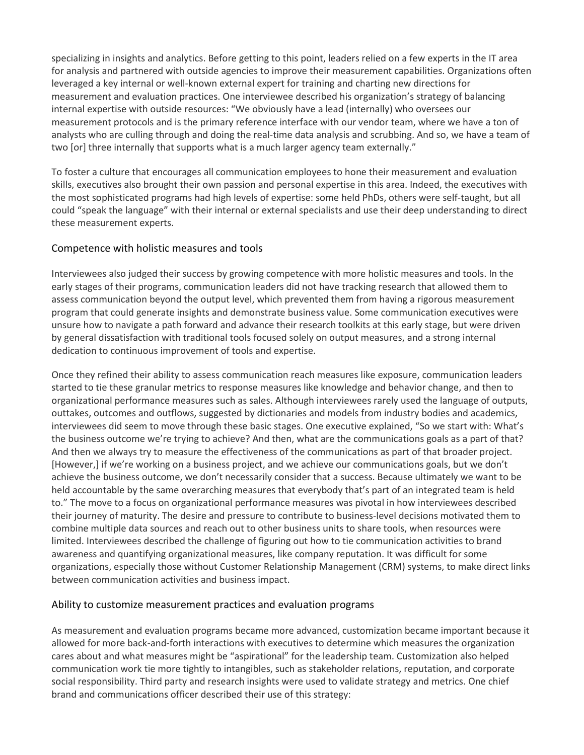specializing in insights and analytics. Before getting to this point, leaders relied on a few experts in the IT area for analysis and partnered with outside agencies to improve their measurement capabilities. Organizations often leveraged a key internal or well-known external expert for training and charting new directions for measurement and evaluation practices. One interviewee described his organization's strategy of balancing internal expertise with outside resources: "We obviously have a lead (internally) who oversees our measurement protocols and is the primary reference interface with our vendor team, where we have a ton of analysts who are culling through and doing the real-time data analysis and scrubbing. And so, we have a team of two [or] three internally that supports what is a much larger agency team externally."

To foster a culture that encourages all communication employees to hone their measurement and evaluation skills, executives also brought their own passion and personal expertise in this area. Indeed, the executives with the most sophisticated programs had high levels of expertise: some held PhDs, others were self-taught, but all could "speak the language" with their internal or external specialists and use their deep understanding to direct these measurement experts.

#### Competence with holistic measures and tools

Interviewees also judged their success by growing competence with more holistic measures and tools. In the early stages of their programs, communication leaders did not have tracking research that allowed them to assess communication beyond the output level, which prevented them from having a rigorous measurement program that could generate insights and demonstrate business value. Some communication executives were unsure how to navigate a path forward and advance their research toolkits at this early stage, but were driven by general dissatisfaction with traditional tools focused solely on output measures, and a strong internal dedication to continuous improvement of tools and expertise.

Once they refined their ability to assess communication reach measures like exposure, communication leaders started to tie these granular metrics to response measures like knowledge and behavior change, and then to organizational performance measures such as sales. Although interviewees rarely used the language of outputs, outtakes, outcomes and outflows, suggested by dictionaries and models from industry bodies and academics, interviewees did seem to move through these basic stages. One executive explained, "So we start with: What's the business outcome we're trying to achieve? And then, what are the communications goals as a part of that? And then we always try to measure the effectiveness of the communications as part of that broader project. [However,] if we're working on a business project, and we achieve our communications goals, but we don't achieve the business outcome, we don't necessarily consider that a success. Because ultimately we want to be held accountable by the same overarching measures that everybody that's part of an integrated team is held to." The move to a focus on organizational performance measures was pivotal in how interviewees described their journey of maturity. The desire and pressure to contribute to business-level decisions motivated them to combine multiple data sources and reach out to other business units to share tools, when resources were limited. Interviewees described the challenge of figuring out how to tie communication activities to brand awareness and quantifying organizational measures, like company reputation. It was difficult for some organizations, especially those without Customer Relationship Management (CRM) systems, to make direct links between communication activities and business impact.

#### Ability to customize measurement practices and evaluation programs

As measurement and evaluation programs became more advanced, customization became important because it allowed for more back-and-forth interactions with executives to determine which measures the organization cares about and what measures might be "aspirational" for the leadership team. Customization also helped communication work tie more tightly to intangibles, such as stakeholder relations, reputation, and corporate social responsibility. Third party and research insights were used to validate strategy and metrics. One chief brand and communications officer described their use of this strategy: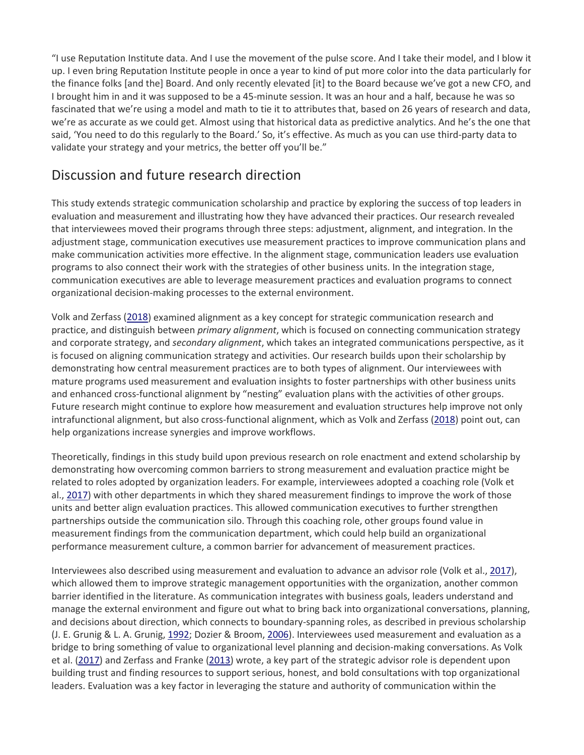"I use Reputation Institute data. And I use the movement of the pulse score. And I take their model, and I blow it up. I even bring Reputation Institute people in once a year to kind of put more color into the data particularly for the finance folks [and the] Board. And only recently elevated [it] to the Board because we've got a new CFO, and I brought him in and it was supposed to be a 45-minute session. It was an hour and a half, because he was so fascinated that we're using a model and math to tie it to attributes that, based on 26 years of research and data, we're as accurate as we could get. Almost using that historical data as predictive analytics. And he's the one that said, 'You need to do this regularly to the Board.' So, it's effective. As much as you can use third-party data to validate your strategy and your metrics, the better off you'll be."

## Discussion and future research direction

This study extends strategic communication scholarship and practice by exploring the success of top leaders in evaluation and measurement and illustrating how they have advanced their practices. Our research revealed that interviewees moved their programs through three steps: adjustment, alignment, and integration. In the adjustment stage, communication executives use measurement practices to improve communication plans and make communication activities more effective. In the alignment stage, communication leaders use evaluation programs to also connect their work with the strategies of other business units. In the integration stage, communication executives are able to leverage measurement practices and evaluation programs to connect organizational decision-making processes to the external environment.

Volk and Zerfass [\(2018\)](https://www.tandfonline.com/doi/full/10.1080/1553118X.2018.1533555) examined alignment as a key concept for strategic communication research and practice, and distinguish between *primary alignment*, which is focused on connecting communication strategy and corporate strategy, and *secondary alignment*, which takes an integrated communications perspective, as it is focused on aligning communication strategy and activities. Our research builds upon their scholarship by demonstrating how central measurement practices are to both types of alignment. Our interviewees with mature programs used measurement and evaluation insights to foster partnerships with other business units and enhanced cross-functional alignment by "nesting" evaluation plans with the activities of other groups. Future research might continue to explore how measurement and evaluation structures help improve not only intrafunctional alignment, but also cross-functional alignment, which as Volk and Zerfass [\(2018\)](https://www.tandfonline.com/doi/full/10.1080/1553118X.2018.1533555) point out, can help organizations increase synergies and improve workflows.

Theoretically, findings in this study build upon previous research on role enactment and extend scholarship by demonstrating how overcoming common barriers to strong measurement and evaluation practice might be related to roles adopted by organization leaders. For example, interviewees adopted a coaching role (Volk et al., [2017\)](https://www.tandfonline.com/doi/full/10.1080/1553118X.2018.1533555) with other departments in which they shared measurement findings to improve the work of those units and better align evaluation practices. This allowed communication executives to further strengthen partnerships outside the communication silo. Through this coaching role, other groups found value in measurement findings from the communication department, which could help build an organizational performance measurement culture, a common barrier for advancement of measurement practices.

Interviewees also described using measurement and evaluation to advance an advisor role (Volk et al., [2017\)](https://www.tandfonline.com/doi/full/10.1080/1553118X.2018.1533555), which allowed them to improve strategic management opportunities with the organization, another common barrier identified in the literature. As communication integrates with business goals, leaders understand and manage the external environment and figure out what to bring back into organizational conversations, planning, and decisions about direction, which connects to boundary-spanning roles, as described in previous scholarship (J. E. Grunig & L. A. Grunig, [1992;](https://www.tandfonline.com/doi/full/10.1080/1553118X.2018.1533555) Dozier & Broom, [2006\)](https://www.tandfonline.com/doi/full/10.1080/1553118X.2018.1533555). Interviewees used measurement and evaluation as a bridge to bring something of value to organizational level planning and decision-making conversations. As Volk et al. [\(2017\)](https://www.tandfonline.com/doi/full/10.1080/1553118X.2018.1533555) and Zerfass and Franke [\(2013\)](https://www.tandfonline.com/doi/full/10.1080/1553118X.2018.1533555) wrote, a key part of the strategic advisor role is dependent upon building trust and finding resources to support serious, honest, and bold consultations with top organizational leaders. Evaluation was a key factor in leveraging the stature and authority of communication within the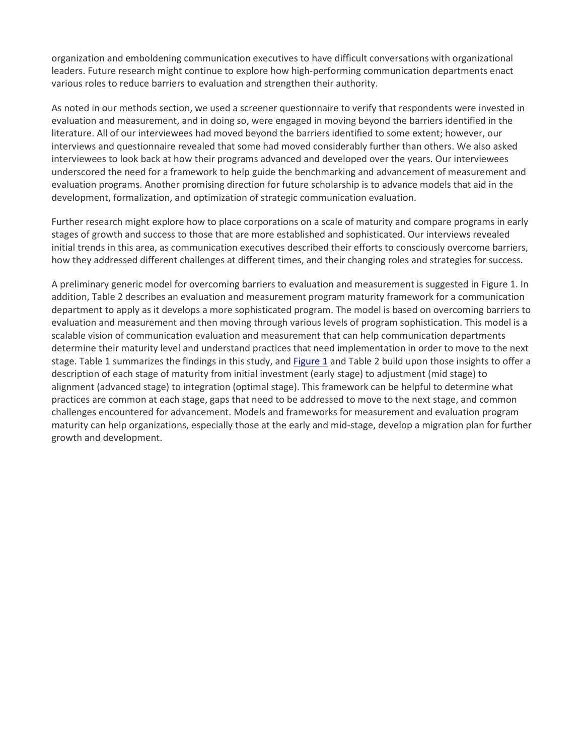organization and emboldening communication executives to have difficult conversations with organizational leaders. Future research might continue to explore how high-performing communication departments enact various roles to reduce barriers to evaluation and strengthen their authority.

As noted in our methods section, we used a screener questionnaire to verify that respondents were invested in evaluation and measurement, and in doing so, were engaged in moving beyond the barriers identified in the literature. All of our interviewees had moved beyond the barriers identified to some extent; however, our interviews and questionnaire revealed that some had moved considerably further than others. We also asked interviewees to look back at how their programs advanced and developed over the years. Our interviewees underscored the need for a framework to help guide the benchmarking and advancement of measurement and evaluation programs. Another promising direction for future scholarship is to advance models that aid in the development, formalization, and optimization of strategic communication evaluation.

Further research might explore how to place corporations on a scale of maturity and compare programs in early stages of growth and success to those that are more established and sophisticated. Our interviews revealed initial trends in this area, as communication executives described their efforts to consciously overcome barriers, how they addressed different challenges at different times, and their changing roles and strategies for success.

A preliminary generic model for overcoming barriers to evaluation and measurement is suggested in Figure 1. In addition, Table 2 describes an evaluation and measurement program maturity framework for a communication department to apply as it develops a more sophisticated program. The model is based on overcoming barriers to evaluation and measurement and then moving through various levels of program sophistication. This model is a scalable vision of communication evaluation and measurement that can help communication departments determine their maturity level and understand practices that need implementation in order to move to the next stage. Table 1 summarizes the findings in this study, and [Figure 1](https://www.tandfonline.com/doi/full/10.1080/1553118X.2018.1533555#F0001) and Table 2 build upon those insights to offer a description of each stage of maturity from initial investment (early stage) to adjustment (mid stage) to alignment (advanced stage) to integration (optimal stage). This framework can be helpful to determine what practices are common at each stage, gaps that need to be addressed to move to the next stage, and common challenges encountered for advancement. Models and frameworks for measurement and evaluation program maturity can help organizations, especially those at the early and mid-stage, develop a migration plan for further growth and development.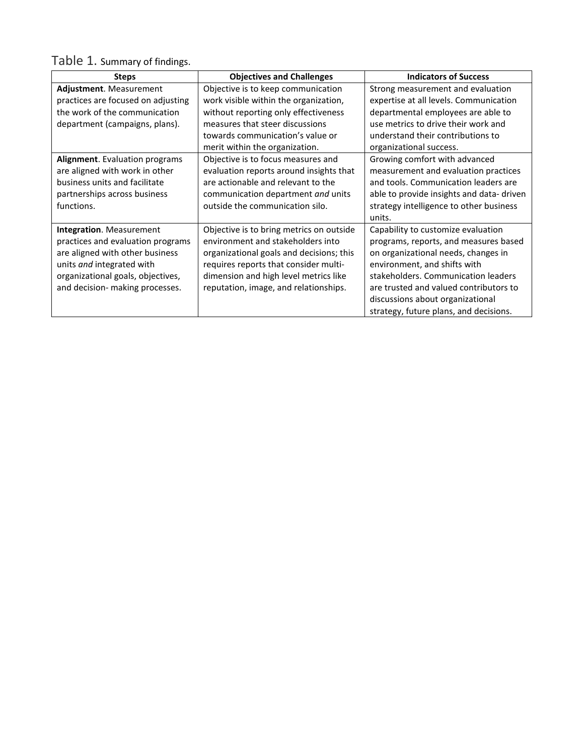Table 1. Summary of findings.

| <b>Steps</b>                          | <b>Objectives and Challenges</b>         | <b>Indicators of Success</b>             |
|---------------------------------------|------------------------------------------|------------------------------------------|
| Adjustment. Measurement               | Objective is to keep communication       | Strong measurement and evaluation        |
| practices are focused on adjusting    | work visible within the organization,    | expertise at all levels. Communication   |
| the work of the communication         | without reporting only effectiveness     | departmental employees are able to       |
| department (campaigns, plans).        | measures that steer discussions          | use metrics to drive their work and      |
|                                       | towards communication's value or         | understand their contributions to        |
|                                       | merit within the organization.           | organizational success.                  |
| <b>Alignment.</b> Evaluation programs | Objective is to focus measures and       | Growing comfort with advanced            |
| are aligned with work in other        | evaluation reports around insights that  | measurement and evaluation practices     |
| business units and facilitate         | are actionable and relevant to the       | and tools. Communication leaders are     |
| partnerships across business          | communication department and units       | able to provide insights and data-driven |
| functions.                            | outside the communication silo.          | strategy intelligence to other business  |
|                                       |                                          | units.                                   |
| Integration. Measurement              | Objective is to bring metrics on outside | Capability to customize evaluation       |
| practices and evaluation programs     | environment and stakeholders into        | programs, reports, and measures based    |
| are aligned with other business       | organizational goals and decisions; this | on organizational needs, changes in      |
| units and integrated with             | requires reports that consider multi-    | environment, and shifts with             |
| organizational goals, objectives,     | dimension and high level metrics like    | stakeholders. Communication leaders      |
| and decision- making processes.       | reputation, image, and relationships.    | are trusted and valued contributors to   |
|                                       |                                          | discussions about organizational         |
|                                       |                                          | strategy, future plans, and decisions.   |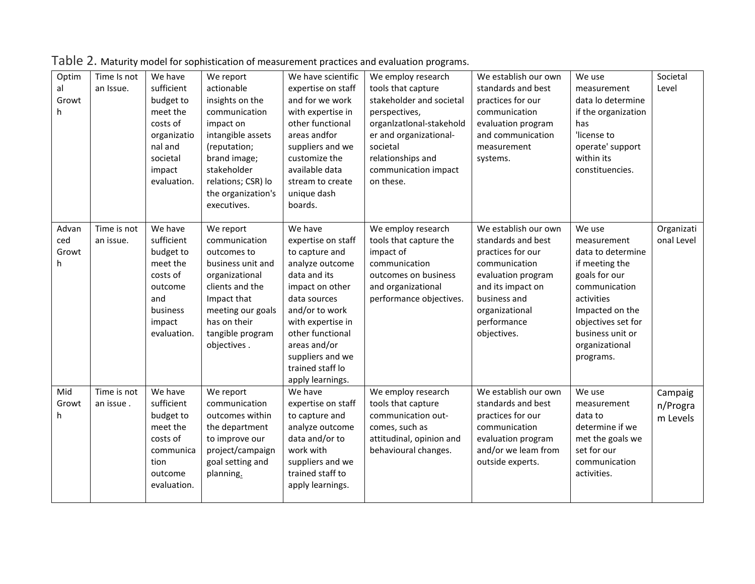| Optim<br>al<br>Growt<br>h. | Time Is not<br>an Issue. | We have<br>sufficient<br>budget to<br>meet the<br>costs of<br>organizatio<br>nal and<br>societal<br>impact<br>evaluation. | We report<br>actionable<br>insights on the<br>communication<br>impact on<br>intangible assets<br>(reputation;<br>brand image;<br>stakeholder<br>relations; CSR) lo<br>the organization's<br>executives. | We have scientific<br>expertise on staff<br>and for we work<br>with expertise in<br>other functional<br>areas andfor<br>suppliers and we<br>customize the<br>available data<br>stream to create<br>unique dash<br>boards.                                    | We employ research<br>tools that capture<br>stakeholder and societal<br>perspectives,<br>organizational-stakehold<br>er and organizational-<br>societal<br>relationships and<br>communication impact<br>on these. | We establish our own<br>standards and best<br>practices for our<br>communication<br>evaluation program<br>and communication<br>measurement<br>systems.                                      | We use<br>measurement<br>data lo determine<br>if the organization<br>has<br>'license to<br>operate' support<br>within its<br>constituencies.                                                             | Societal<br>Level               |
|----------------------------|--------------------------|---------------------------------------------------------------------------------------------------------------------------|---------------------------------------------------------------------------------------------------------------------------------------------------------------------------------------------------------|--------------------------------------------------------------------------------------------------------------------------------------------------------------------------------------------------------------------------------------------------------------|-------------------------------------------------------------------------------------------------------------------------------------------------------------------------------------------------------------------|---------------------------------------------------------------------------------------------------------------------------------------------------------------------------------------------|----------------------------------------------------------------------------------------------------------------------------------------------------------------------------------------------------------|---------------------------------|
| Advan<br>ced<br>Growt<br>h | Time is not<br>an issue. | We have<br>sufficient<br>budget to<br>meet the<br>costs of<br>outcome<br>and<br>business<br>impact<br>evaluation.         | We report<br>communication<br>outcomes to<br>business unit and<br>organizational<br>clients and the<br>Impact that<br>meeting our goals<br>has on their<br>tangible program<br>objectives.              | We have<br>expertise on staff<br>to capture and<br>analyze outcome<br>data and its<br>impact on other<br>data sources<br>and/or to work<br>with expertise in<br>other functional<br>areas and/or<br>suppliers and we<br>trained staff lo<br>apply learnings. | We employ research<br>tools that capture the<br>impact of<br>communication<br>outcomes on business<br>and organizational<br>performance objectives.                                                               | We establish our own<br>standards and best<br>practices for our<br>communication<br>evaluation program<br>and its impact on<br>business and<br>organizational<br>performance<br>objectives. | We use<br>measurement<br>data to determine<br>if meeting the<br>goals for our<br>communication<br>activities<br>Impacted on the<br>objectives set for<br>business unit or<br>organizational<br>programs. | Organizati<br>onal Level        |
| Mid<br>Growt<br>h.         | Time is not<br>an issue. | We have<br>sufficient<br>budget to<br>meet the<br>costs of<br>communica<br>tion<br>outcome<br>evaluation.                 | We report<br>communication<br>outcomes within<br>the department<br>to improve our<br>project/campaign<br>goal setting and<br>planning.                                                                  | We have<br>expertise on staff<br>to capture and<br>analyze outcome<br>data and/or to<br>work with<br>suppliers and we<br>trained staff to<br>apply learnings.                                                                                                | We employ research<br>tools that capture<br>communication out-<br>comes, such as<br>attitudinal, opinion and<br>behavioural changes.                                                                              | We establish our own<br>standards and best<br>practices for our<br>communication<br>evaluation program<br>and/or we leam from<br>outside experts.                                           | We use<br>measurement<br>data to<br>determine if we<br>met the goals we<br>set for our<br>communication<br>activities.                                                                                   | Campaig<br>n/Progra<br>m Levels |

Table 2. Maturity model for sophistication of measurement practices and evaluation programs.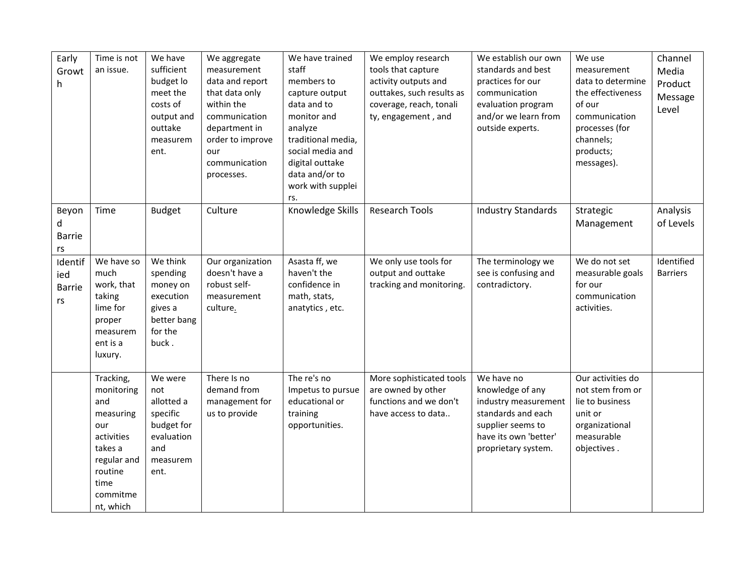| Early<br>Growt<br>h.                  | Time is not<br>an issue.                                                                                                               | We have<br>sufficient<br>budget lo<br>meet the<br>costs of<br>output and<br>outtake<br>measurem<br>ent. | We aggregate<br>measurement<br>data and report<br>that data only<br>within the<br>communication<br>department in<br>order to improve<br>our<br>communication<br>processes. | We have trained<br>staff<br>members to<br>capture output<br>data and to<br>monitor and<br>analyze<br>traditional media,<br>social media and<br>digital outtake<br>data and/or to<br>work with supplei<br>rs. | We employ research<br>tools that capture<br>activity outputs and<br>outtakes, such results as<br>coverage, reach, tonali<br>ty, engagement, and | We establish our own<br>standards and best<br>practices for our<br>communication<br>evaluation program<br>and/or we learn from<br>outside experts. | We use<br>measurement<br>data to determine<br>the effectiveness<br>of our<br>communication<br>processes (for<br>channels;<br>products;<br>messages). | Channel<br>Media<br>Product<br>Message<br>Level |
|---------------------------------------|----------------------------------------------------------------------------------------------------------------------------------------|---------------------------------------------------------------------------------------------------------|----------------------------------------------------------------------------------------------------------------------------------------------------------------------------|--------------------------------------------------------------------------------------------------------------------------------------------------------------------------------------------------------------|-------------------------------------------------------------------------------------------------------------------------------------------------|----------------------------------------------------------------------------------------------------------------------------------------------------|------------------------------------------------------------------------------------------------------------------------------------------------------|-------------------------------------------------|
| Beyon<br>d<br><b>Barrie</b><br>rs     | Time                                                                                                                                   | <b>Budget</b>                                                                                           | Culture                                                                                                                                                                    | Knowledge Skills                                                                                                                                                                                             | <b>Research Tools</b>                                                                                                                           | <b>Industry Standards</b>                                                                                                                          | Strategic<br>Management                                                                                                                              | Analysis<br>of Levels                           |
| Identif<br>ied<br><b>Barrie</b><br>rs | We have so<br>much<br>work, that<br>taking<br>lime for<br>proper<br>measurem<br>ent is a<br>luxury.                                    | We think<br>spending<br>money on<br>execution<br>gives a<br>better bang<br>for the<br>buck.             | Our organization<br>doesn't have a<br>robust self-<br>measurement<br>culture.                                                                                              | Asasta ff, we<br>haven't the<br>confidence in<br>math, stats,<br>anatytics, etc.                                                                                                                             | We only use tools for<br>output and outtake<br>tracking and monitoring.                                                                         | The terminology we<br>see is confusing and<br>contradictory.                                                                                       | We do not set<br>measurable goals<br>for our<br>communication<br>activities.                                                                         | Identified<br><b>Barriers</b>                   |
|                                       | Tracking,<br>monitoring<br>and<br>measuring<br>our<br>activities<br>takes a<br>regular and<br>routine<br>time<br>commitme<br>nt, which | We were<br>not<br>allotted a<br>specific<br>budget for<br>evaluation<br>and<br>measurem<br>ent.         | There Is no<br>demand from<br>management for<br>us to provide                                                                                                              | The re's no<br>Impetus to pursue<br>educational or<br>training<br>opportunities.                                                                                                                             | More sophisticated tools<br>are owned by other<br>functions and we don't<br>have access to data                                                 | We have no<br>knowledge of any<br>industry measurement<br>standards and each<br>supplier seems to<br>have its own 'better'<br>proprietary system.  | Our activities do<br>not stem from or<br>lie to business<br>unit or<br>organizational<br>measurable<br>objectives.                                   |                                                 |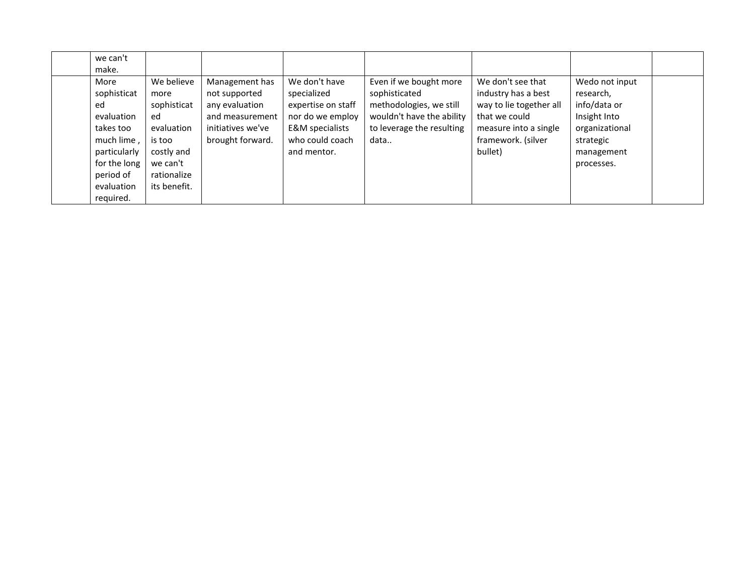| we can't<br>make.                                                                                                                          |                                                                                                                          |                                                                                                               |                                                                                                                             |                                                                                                                                      |                                                                                                                                                |                                                                                                                        |  |
|--------------------------------------------------------------------------------------------------------------------------------------------|--------------------------------------------------------------------------------------------------------------------------|---------------------------------------------------------------------------------------------------------------|-----------------------------------------------------------------------------------------------------------------------------|--------------------------------------------------------------------------------------------------------------------------------------|------------------------------------------------------------------------------------------------------------------------------------------------|------------------------------------------------------------------------------------------------------------------------|--|
| More<br>sophisticat<br>ed<br>evaluation<br>takes too<br>much lime,<br>particularly<br>for the long<br>period of<br>evaluation<br>required. | We believe<br>more<br>sophisticat<br>ed<br>evaluation<br>is too<br>costly and<br>we can't<br>rationalize<br>its benefit. | Management has<br>not supported<br>any evaluation<br>and measurement<br>initiatives we've<br>brought forward. | We don't have<br>specialized<br>expertise on staff<br>nor do we employ<br>E&M specialists<br>who could coach<br>and mentor. | Even if we bought more<br>sophisticated<br>methodologies, we still<br>wouldn't have the ability<br>to leverage the resulting<br>data | We don't see that<br>industry has a best<br>way to lie together all<br>that we could<br>measure into a single<br>framework. (silver<br>bullet) | Wedo not input<br>research,<br>info/data or<br>Insight Into<br>organizational<br>strategic<br>management<br>processes. |  |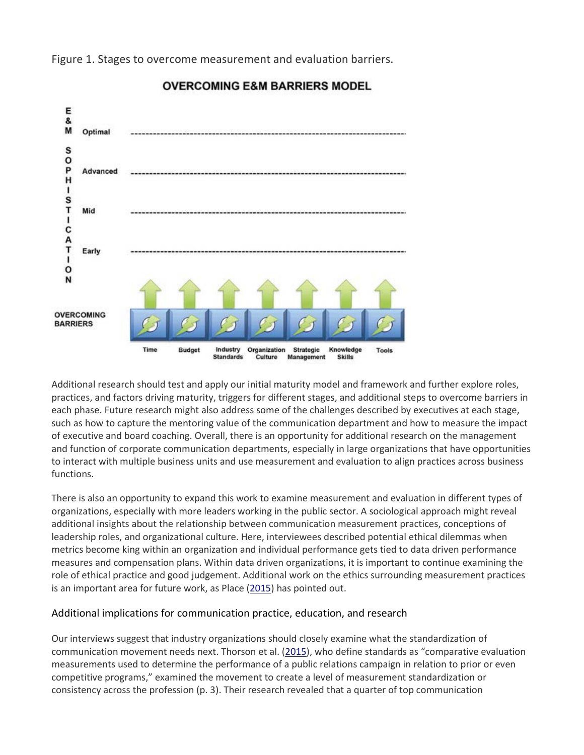E 8 M Optimal S о P Advanced н  $\mathbf{I}$ **STICAT** Mid Early  $\mathbf{I}$ o N Time Industry **Budget** Organization Strategic Knowledge **Tools** 

Figure 1. Stages to overcome measurement and evaluation barriers.

**OVERCOMING E&M BARRIERS MODEL** 

**OVERCOMING BARRIERS Standards** Culture Management **Skills** Additional research should test and apply our initial maturity model and framework and further explore roles, practices, and factors driving maturity, triggers for different stages, and additional steps to overcome barriers in each phase. Future research might also address some of the challenges described by executives at each stage, such as how to capture the mentoring value of the communication department and how to measure the impact of executive and board coaching. Overall, there is an opportunity for additional research on the management and function of corporate communication departments, especially in large organizations that have opportunities to interact with multiple business units and use measurement and evaluation to align practices across business functions.

There is also an opportunity to expand this work to examine measurement and evaluation in different types of organizations, especially with more leaders working in the public sector. A sociological approach might reveal additional insights about the relationship between communication measurement practices, conceptions of leadership roles, and organizational culture. Here, interviewees described potential ethical dilemmas when metrics become king within an organization and individual performance gets tied to data driven performance measures and compensation plans. Within data driven organizations, it is important to continue examining the role of ethical practice and good judgement. Additional work on the ethics surrounding measurement practices is an important area for future work, as Place [\(2015\)](https://www.tandfonline.com/doi/full/10.1080/1553118X.2018.1533555) has pointed out.

#### Additional implications for communication practice, education, and research

Our interviews suggest that industry organizations should closely examine what the standardization of communication movement needs next. Thorson et al. [\(2015\)](https://www.tandfonline.com/doi/full/10.1080/1553118X.2018.1533555), who define standards as "comparative evaluation measurements used to determine the performance of a public relations campaign in relation to prior or even competitive programs," examined the movement to create a level of measurement standardization or consistency across the profession (p. 3). Their research revealed that a quarter of top communication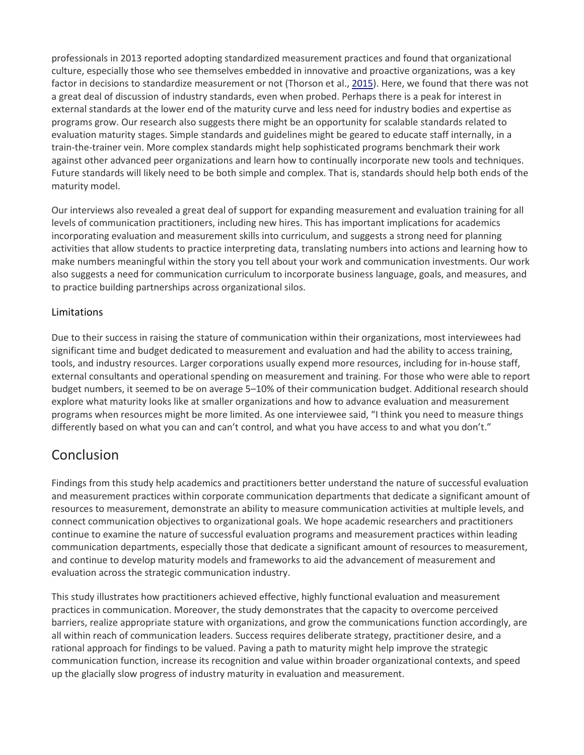professionals in 2013 reported adopting standardized measurement practices and found that organizational culture, especially those who see themselves embedded in innovative and proactive organizations, was a key factor in decisions to standardize measurement or not (Thorson et al., [2015\)](https://www.tandfonline.com/doi/full/10.1080/1553118X.2018.1533555). Here, we found that there was not a great deal of discussion of industry standards, even when probed. Perhaps there is a peak for interest in external standards at the lower end of the maturity curve and less need for industry bodies and expertise as programs grow. Our research also suggests there might be an opportunity for scalable standards related to evaluation maturity stages. Simple standards and guidelines might be geared to educate staff internally, in a train-the-trainer vein. More complex standards might help sophisticated programs benchmark their work against other advanced peer organizations and learn how to continually incorporate new tools and techniques. Future standards will likely need to be both simple and complex. That is, standards should help both ends of the maturity model.

Our interviews also revealed a great deal of support for expanding measurement and evaluation training for all levels of communication practitioners, including new hires. This has important implications for academics incorporating evaluation and measurement skills into curriculum, and suggests a strong need for planning activities that allow students to practice interpreting data, translating numbers into actions and learning how to make numbers meaningful within the story you tell about your work and communication investments. Our work also suggests a need for communication curriculum to incorporate business language, goals, and measures, and to practice building partnerships across organizational silos.

#### Limitations

Due to their success in raising the stature of communication within their organizations, most interviewees had significant time and budget dedicated to measurement and evaluation and had the ability to access training, tools, and industry resources. Larger corporations usually expend more resources, including for in-house staff, external consultants and operational spending on measurement and training. For those who were able to report budget numbers, it seemed to be on average 5–10% of their communication budget. Additional research should explore what maturity looks like at smaller organizations and how to advance evaluation and measurement programs when resources might be more limited. As one interviewee said, "I think you need to measure things differently based on what you can and can't control, and what you have access to and what you don't."

## Conclusion

Findings from this study help academics and practitioners better understand the nature of successful evaluation and measurement practices within corporate communication departments that dedicate a significant amount of resources to measurement, demonstrate an ability to measure communication activities at multiple levels, and connect communication objectives to organizational goals. We hope academic researchers and practitioners continue to examine the nature of successful evaluation programs and measurement practices within leading communication departments, especially those that dedicate a significant amount of resources to measurement, and continue to develop maturity models and frameworks to aid the advancement of measurement and evaluation across the strategic communication industry.

This study illustrates how practitioners achieved effective, highly functional evaluation and measurement practices in communication. Moreover, the study demonstrates that the capacity to overcome perceived barriers, realize appropriate stature with organizations, and grow the communications function accordingly, are all within reach of communication leaders. Success requires deliberate strategy, practitioner desire, and a rational approach for findings to be valued. Paving a path to maturity might help improve the strategic communication function, increase its recognition and value within broader organizational contexts, and speed up the glacially slow progress of industry maturity in evaluation and measurement.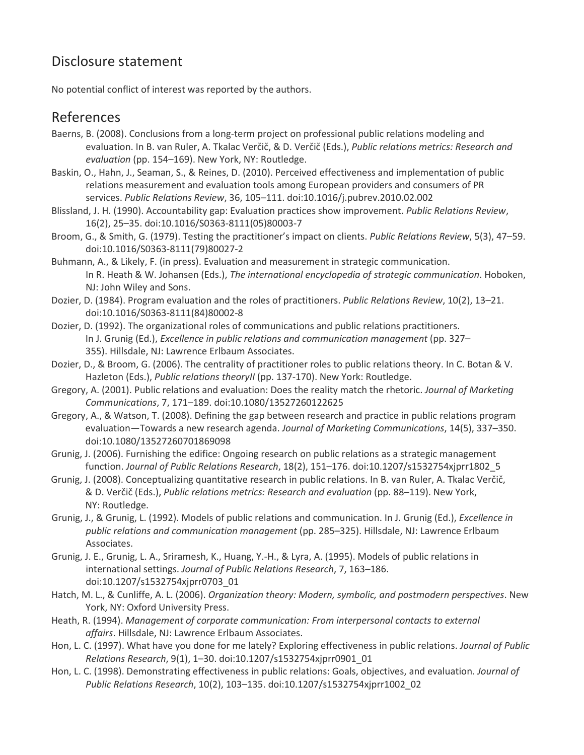## Disclosure statement

No potential conflict of interest was reported by the authors.

### References

- Baerns, B. (2008). Conclusions from a long-term project on professional public relations modeling and evaluation. In B. van Ruler, A. Tkalac Verčič, & D. Verčič (Eds.), *Public relations metrics: Research and evaluation* (pp. 154–169). New York, NY: Routledge.
- Baskin, O., Hahn, J., Seaman, S., & Reines, D. (2010). Perceived effectiveness and implementation of public relations measurement and evaluation tools among European providers and consumers of PR services. *Public Relations Review*, 36, 105–111. doi:10.1016/j.pubrev.2010.02.002
- Blissland, J. H. (1990). Accountability gap: Evaluation practices show improvement. *Public Relations Review*, 16(2), 25–35. doi:10.1016/S0363-8111(05)80003-7
- Broom, G., & Smith, G. (1979). Testing the practitioner's impact on clients. *Public Relations Review*, 5(3), 47–59. doi:10.1016/S0363-8111(79)80027-2
- Buhmann, A., & Likely, F. (in press). Evaluation and measurement in strategic communication. In R. Heath & W. Johansen (Eds.), *The international encyclopedia of strategic communication*. Hoboken, NJ: John Wiley and Sons.
- Dozier, D. (1984). Program evaluation and the roles of practitioners. *Public Relations Review*, 10(2), 13–21. doi:10.1016/S0363-8111(84)80002-8
- Dozier, D. (1992). The organizational roles of communications and public relations practitioners. In J. Grunig (Ed.), *Excellence in public relations and communication management* (pp. 327– 355). Hillsdale, NJ: Lawrence Erlbaum Associates.
- Dozier, D., & Broom, G. (2006). The centrality of practitioner roles to public relations theory. In C. Botan & V. Hazleton (Eds.), *Public relations theoryII* (pp. 137-170). New York: Routledge.
- Gregory, A. (2001). Public relations and evaluation: Does the reality match the rhetoric. *Journal of Marketing Communications*, 7, 171–189. doi:10.1080/13527260122625
- Gregory, A., & Watson, T. (2008). Defining the gap between research and practice in public relations program evaluation—Towards a new research agenda. *Journal of Marketing Communications*, 14(5), 337–350. doi:10.1080/13527260701869098
- Grunig, J. (2006). Furnishing the edifice: Ongoing research on public relations as a strategic management function. *Journal of Public Relations Research*, 18(2), 151–176. doi:10.1207/s1532754xjprr1802\_5
- Grunig, J. (2008). Conceptualizing quantitative research in public relations. In B. van Ruler, A. Tkalac Verčič, & D. Verčič (Eds.), *Public relations metrics: Research and evaluation* (pp. 88–119). New York, NY: Routledge.
- Grunig, J., & Grunig, L. (1992). Models of public relations and communication. In J. Grunig (Ed.), *Excellence in public relations and communication management* (pp. 285–325). Hillsdale, NJ: Lawrence Erlbaum Associates.
- Grunig, J. E., Grunig, L. A., Sriramesh, K., Huang, Y.-H., & Lyra, A. (1995). Models of public relations in international settings. *Journal of Public Relations Research*, 7, 163–186. doi:10.1207/s1532754xjprr0703\_01
- Hatch, M. L., & Cunliffe, A. L. (2006). *Organization theory: Modern, symbolic, and postmodern perspectives*. New York, NY: Oxford University Press.
- Heath, R. (1994). *Management of corporate communication: From interpersonal contacts to external affairs*. Hillsdale, NJ: Lawrence Erlbaum Associates.
- Hon, L. C. (1997). What have you done for me lately? Exploring effectiveness in public relations. *Journal of Public Relations Research*, 9(1), 1–30. doi:10.1207/s1532754xjprr0901\_01
- Hon, L. C. (1998). Demonstrating effectiveness in public relations: Goals, objectives, and evaluation. *Journal of Public Relations Research*, 10(2), 103–135. doi:10.1207/s1532754xjprr1002\_02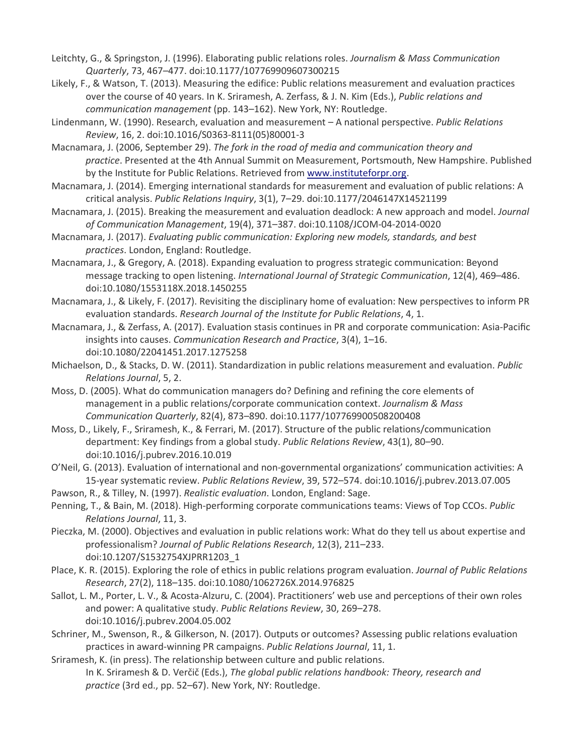- Leitchty, G., & Springston, J. (1996). Elaborating public relations roles. *Journalism & Mass Communication Quarterly*, 73, 467–477. doi:10.1177/107769909607300215
- Likely, F., & Watson, T. (2013). Measuring the edifice: Public relations measurement and evaluation practices over the course of 40 years. In K. Sriramesh, A. Zerfass, & J. N. Kim (Eds.), *Public relations and communication management* (pp. 143–162). New York, NY: Routledge.
- Lindenmann, W. (1990). Research, evaluation and measurement A national perspective. *Public Relations Review*, 16, 2. doi:10.1016/S0363-8111(05)80001-3
- Macnamara, J. (2006, September 29). *The fork in the road of media and communication theory and practice*. Presented at the 4th Annual Summit on Measurement, Portsmouth, New Hampshire. Published by the Institute for Public Relations. Retrieved from [www.instituteforpr.org.](http://www.instituteforpr.org/)
- Macnamara, J. (2014). Emerging international standards for measurement and evaluation of public relations: A critical analysis. *Public Relations Inquiry*, 3(1), 7–29. doi:10.1177/2046147X14521199
- Macnamara, J. (2015). Breaking the measurement and evaluation deadlock: A new approach and model. *Journal of Communication Management*, 19(4), 371–387. doi:10.1108/JCOM-04-2014-0020
- Macnamara, J. (2017). *Evaluating public communication: Exploring new models, standards, and best practices*. London, England: Routledge.
- Macnamara, J., & Gregory, A. (2018). Expanding evaluation to progress strategic communication: Beyond message tracking to open listening. *International Journal of Strategic Communication*, 12(4), 469–486. doi:10.1080/1553118X.2018.1450255
- Macnamara, J., & Likely, F. (2017). Revisiting the disciplinary home of evaluation: New perspectives to inform PR evaluation standards. *Research Journal of the Institute for Public Relations*, 4, 1.
- Macnamara, J., & Zerfass, A. (2017). Evaluation stasis continues in PR and corporate communication: Asia-Pacific insights into causes. *Communication Research and Practice*, 3(4), 1–16. doi:10.1080/22041451.2017.1275258
- Michaelson, D., & Stacks, D. W. (2011). Standardization in public relations measurement and evaluation. *Public Relations Journal*, 5, 2.
- Moss, D. (2005). What do communication managers do? Defining and refining the core elements of management in a public relations/corporate communication context. *Journalism & Mass Communication Quarterly*, 82(4), 873–890. doi:10.1177/107769900508200408
- Moss, D., Likely, F., Sriramesh, K., & Ferrari, M. (2017). Structure of the public relations/communication department: Key findings from a global study. *Public Relations Review*, 43(1), 80–90. doi:10.1016/j.pubrev.2016.10.019
- O'Neil, G. (2013). Evaluation of international and non-governmental organizations' communication activities: A 15-year systematic review. *Public Relations Review*, 39, 572–574. doi:10.1016/j.pubrev.2013.07.005
- Pawson, R., & Tilley, N. (1997). *Realistic evaluation*. London, England: Sage.
- Penning, T., & Bain, M. (2018). High-performing corporate communications teams: Views of Top CCOs. *Public Relations Journal*, 11, 3.
- Pieczka, M. (2000). Objectives and evaluation in public relations work: What do they tell us about expertise and professionalism? *Journal of Public Relations Research*, 12(3), 211–233. doi:10.1207/S1532754XJPRR1203\_1
- Place, K. R. (2015). Exploring the role of ethics in public relations program evaluation. *Journal of Public Relations Research*, 27(2), 118–135. doi:10.1080/1062726X.2014.976825
- Sallot, L. M., Porter, L. V., & Acosta-Alzuru, C. (2004). Practitioners' web use and perceptions of their own roles and power: A qualitative study. *Public Relations Review*, 30, 269–278. doi:10.1016/j.pubrev.2004.05.002
- Schriner, M., Swenson, R., & Gilkerson, N. (2017). Outputs or outcomes? Assessing public relations evaluation practices in award-winning PR campaigns. *Public Relations Journal*, 11, 1.
- Sriramesh, K. (in press). The relationship between culture and public relations. In K. Sriramesh & D. Verčič (Eds.), *The global public relations handbook: Theory, research and practice* (3rd ed., pp. 52–67). New York, NY: Routledge.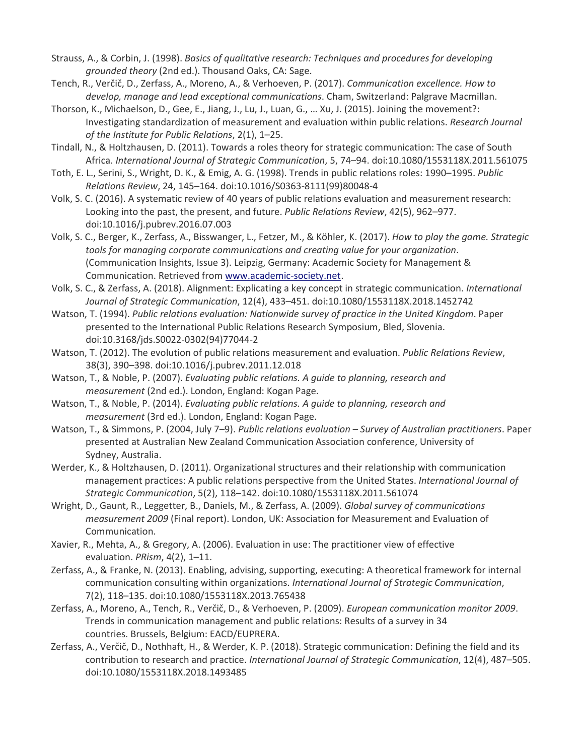- Strauss, A., & Corbin, J. (1998). *Basics of qualitative research: Techniques and procedures for developing grounded theory* (2nd ed.). Thousand Oaks, CA: Sage.
- Tench, R., Verčič, D., Zerfass, A., Moreno, A., & Verhoeven, P. (2017). *Communication excellence. How to develop, manage and lead exceptional communications*. Cham, Switzerland: Palgrave Macmillan.
- Thorson, K., Michaelson, D., Gee, E., Jiang, J., Lu, J., Luan, G., … Xu, J. (2015). Joining the movement?: Investigating standardization of measurement and evaluation within public relations. *Research Journal of the Institute for Public Relations*, 2(1), 1–25.
- Tindall, N., & Holtzhausen, D. (2011). Towards a roles theory for strategic communication: The case of South Africa. *International Journal of Strategic Communication*, 5, 74–94. doi:10.1080/1553118X.2011.561075
- Toth, E. L., Serini, S., Wright, D. K., & Emig, A. G. (1998). Trends in public relations roles: 1990–1995. *Public Relations Review*, 24, 145–164. doi:10.1016/S0363-8111(99)80048-4
- Volk, S. C. (2016). A systematic review of 40 years of public relations evaluation and measurement research: Looking into the past, the present, and future. *Public Relations Review*, 42(5), 962–977. doi:10.1016/j.pubrev.2016.07.003
- Volk, S. C., Berger, K., Zerfass, A., Bisswanger, L., Fetzer, M., & Köhler, K. (2017). *How to play the game. Strategic tools for managing corporate communications and creating value for your organization*. (Communication Insights, Issue 3). Leipzig, Germany: Academic Society for Management & Communication. Retrieved from [www.academic-society.net.](http://www.academic-society.net/)
- Volk, S. C., & Zerfass, A. (2018). Alignment: Explicating a key concept in strategic communication. *International Journal of Strategic Communication*, 12(4), 433–451. doi:10.1080/1553118X.2018.1452742
- Watson, T. (1994). *Public relations evaluation: Nationwide survey of practice in the United Kingdom*. Paper presented to the International Public Relations Research Symposium, Bled, Slovenia. doi:10.3168/jds.S0022-0302(94)77044-2
- Watson, T. (2012). The evolution of public relations measurement and evaluation. *Public Relations Review*, 38(3), 390–398. doi:10.1016/j.pubrev.2011.12.018
- Watson, T., & Noble, P. (2007). *Evaluating public relations. A guide to planning, research and measurement* (2nd ed.). London, England: Kogan Page.
- Watson, T., & Noble, P. (2014). *Evaluating public relations. A guide to planning, research and measurement* (3rd ed.). London, England: Kogan Page.
- Watson, T., & Simmons, P. (2004, July 7–9). *Public relations evaluation – Survey of Australian practitioners*. Paper presented at Australian New Zealand Communication Association conference, University of Sydney, Australia.
- Werder, K., & Holtzhausen, D. (2011). Organizational structures and their relationship with communication management practices: A public relations perspective from the United States. *International Journal of Strategic Communication*, 5(2), 118–142. doi:10.1080/1553118X.2011.561074
- Wright, D., Gaunt, R., Leggetter, B., Daniels, M., & Zerfass, A. (2009). *Global survey of communications measurement 2009* (Final report). London, UK: Association for Measurement and Evaluation of Communication.
- Xavier, R., Mehta, A., & Gregory, A. (2006). Evaluation in use: The practitioner view of effective evaluation. *PRism*, 4(2), 1–11.
- Zerfass, A., & Franke, N. (2013). Enabling, advising, supporting, executing: A theoretical framework for internal communication consulting within organizations. *International Journal of Strategic Communication*, 7(2), 118–135. doi:10.1080/1553118X.2013.765438
- Zerfass, A., Moreno, A., Tench, R., Verčič, D., & Verhoeven, P. (2009). *European communication monitor 2009*. Trends in communication management and public relations: Results of a survey in 34 countries. Brussels, Belgium: EACD/EUPRERA.
- Zerfass, A., Verčič, D., Nothhaft, H., & Werder, K. P. (2018). Strategic communication: Defining the field and its contribution to research and practice. *International Journal of Strategic Communication*, 12(4), 487–505. doi:10.1080/1553118X.2018.1493485